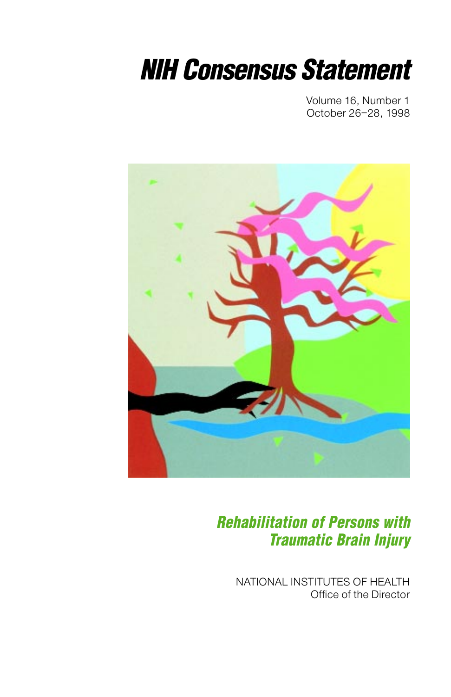# **NIH Consensus Statement**

Volume 16, Number 1 October 26–28, 1998



## **Rehabilitation of Persons with Traumatic Brain Injury**

NATIONAL INSTITUTES OF HEALTH Office of the Director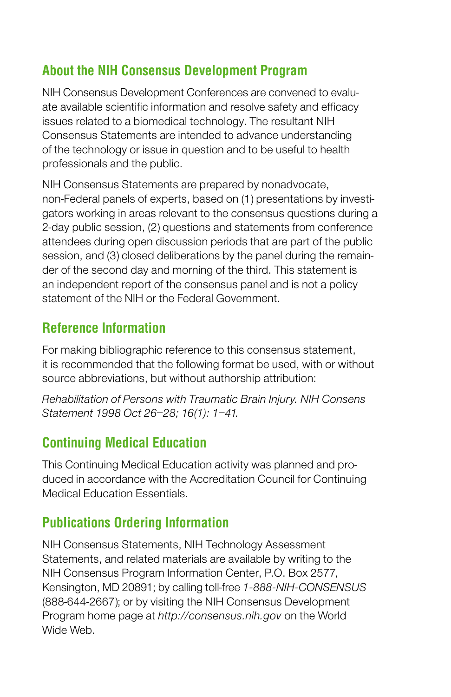### **About the NIH Consensus Development Program**

NIH Consensus Development Conferences are convened to evaluate available scientific information and resolve safety and efficacy issues related to a biomedical technology. The resultant NIH Consensus Statements are intended to advance understanding of the technology or issue in question and to be useful to health professionals and the public.

NIH Consensus Statements are prepared by nonadvocate, non-Federal panels of experts, based on (1) presentations by investigators working in areas relevant to the consensus questions during a 2-day public session, (2) questions and statements from conference attendees during open discussion periods that are part of the public session, and (3) closed deliberations by the panel during the remainder of the second day and morning of the third. This statement is an independent report of the consensus panel and is not a policy statement of the NIH or the Federal Government.

### **Reference Information**

For making bibliographic reference to this consensus statement, it is recommended that the following format be used, with or without source abbreviations, but without authorship attribution:

Rehabilitation of Persons with Traumatic Brain Injury. NIH Consens Statement 1998 Oct 26–28; 16(1): 1–41.

### **Continuing Medical Education**

This Continuing Medical Education activity was planned and produced in accordance with the Accreditation Council for Continuing Medical Education Essentials.

## **Publications Ordering Information**

NIH Consensus Statements, NIH Technology Assessment Statements, and related materials are available by writing to the NIH Consensus Program Information Center, P.O. Box 2577, Kensington, MD 20891; by calling toll-free 1-888-NIH-CONSENSUS (888-644-2667); or by visiting the NIH Consensus Development Program home page at http://consensus.nih.gov on the World Wide Web.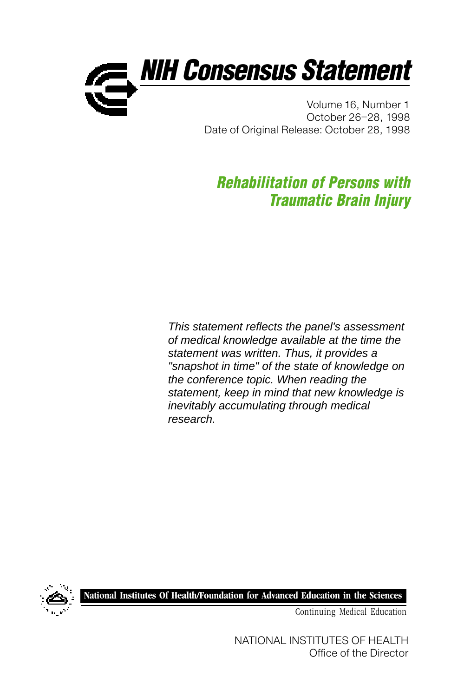

October 26–28, 1998 Date of Original Release: October 28, 1998

**Rehabilitation of Persons with Traumatic Brain Injury** 

This statement reflects the panel's assessment of medical knowledge available at the time the statement was written. Thus, it provides a "snapshot in time" of the state of knowledge on the conference topic. When reading the statement, keep in mind that new knowledge is inevitably accumulating through medical research.



**National Institutes Of Health/Foundation for Advanced Education in the Sciences** 

Continuing Medical Education

NATIONAL INSTITUTES OF HEALTH Office of the Director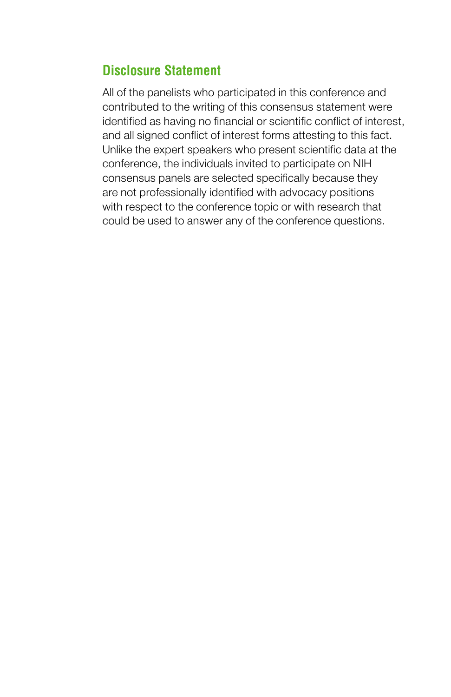### **Disclosure Statement**

All of the panelists who participated in this conference and contributed to the writing of this consensus statement were identified as having no financial or scientific conflict of interest, and all signed conflict of interest forms attesting to this fact. Unlike the expert speakers who present scientific data at the conference, the individuals invited to participate on NIH consensus panels are selected specifically because they are not professionally identified with advocacy positions with respect to the conference topic or with research that could be used to answer any of the conference questions.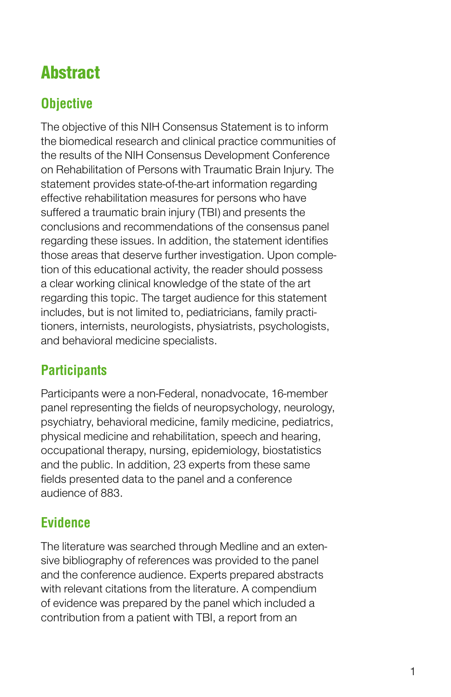## **Abstract**

## **Objective**

The objective of this NIH Consensus Statement is to inform the biomedical research and clinical practice communities of the results of the NIH Consensus Development Conference on Rehabilitation of Persons with Traumatic Brain Injury. The statement provides state-of-the-art information regarding effective rehabilitation measures for persons who have suffered a traumatic brain injury (TBI) and presents the conclusions and recommendations of the consensus panel regarding these issues. In addition, the statement identifies those areas that deserve further investigation. Upon completion of this educational activity, the reader should possess a clear working clinical knowledge of the state of the art regarding this topic. The target audience for this statement includes, but is not limited to, pediatricians, family practitioners, internists, neurologists, physiatrists, psychologists, and behavioral medicine specialists.

## **Participants**

Participants were a non-Federal, nonadvocate, 16-member panel representing the fields of neuropsychology, neurology, psychiatry, behavioral medicine, family medicine, pediatrics, physical medicine and rehabilitation, speech and hearing, occupational therapy, nursing, epidemiology, biostatistics and the public. In addition, 23 experts from these same fields presented data to the panel and a conference audience of 883.

## **Evidence**

The literature was searched through Medline and an extensive bibliography of references was provided to the panel and the conference audience. Experts prepared abstracts with relevant citations from the literature. A compendium of evidence was prepared by the panel which included a contribution from a patient with TBI, a report from an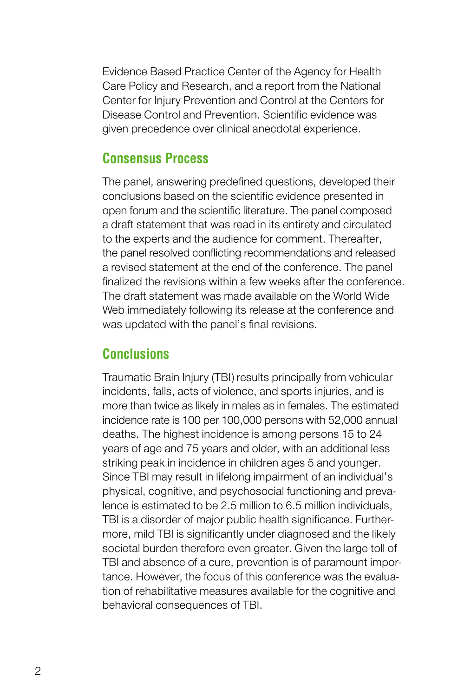Evidence Based Practice Center of the Agency for Health Care Policy and Research, and a report from the National Center for Injury Prevention and Control at the Centers for Disease Control and Prevention. Scientific evidence was given precedence over clinical anecdotal experience.

### **Consensus Process**

The panel, answering predefined questions, developed their conclusions based on the scientific evidence presented in open forum and the scientific literature. The panel composed a draft statement that was read in its entirety and circulated to the experts and the audience for comment. Thereafter, the panel resolved conflicting recommendations and released a revised statement at the end of the conference. The panel finalized the revisions within a few weeks after the conference. The draft statement was made available on the World Wide Web immediately following its release at the conference and was updated with the panel's final revisions.

### **Conclusions**

Traumatic Brain Injury (TBI) results principally from vehicular incidents, falls, acts of violence, and sports injuries, and is more than twice as likely in males as in females. The estimated incidence rate is 100 per 100,000 persons with 52,000 annual deaths. The highest incidence is among persons 15 to 24 years of age and 75 years and older, with an additional less striking peak in incidence in children ages 5 and younger. Since TBI may result in lifelong impairment of an individual's physical, cognitive, and psychosocial functioning and prevalence is estimated to be 2.5 million to 6.5 million individuals, TBI is a disorder of major public health significance. Furthermore, mild TBI is significantly under diagnosed and the likely societal burden therefore even greater. Given the large toll of TBI and absence of a cure, prevention is of paramount importance. However, the focus of this conference was the evaluation of rehabilitative measures available for the cognitive and behavioral consequences of TBI.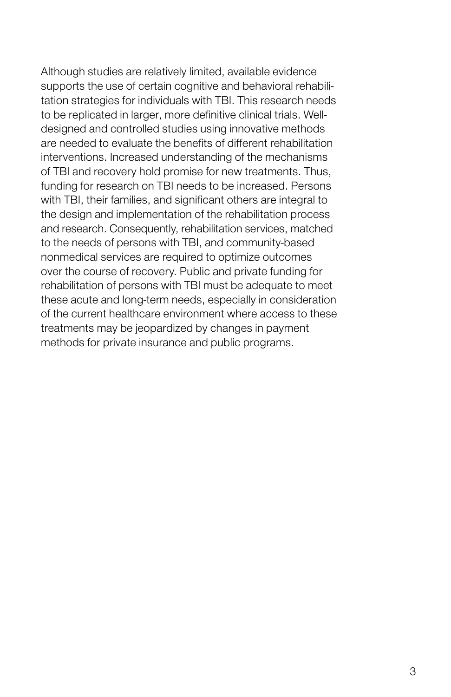Although studies are relatively limited, available evidence supports the use of certain cognitive and behavioral rehabilitation strategies for individuals with TBI. This research needs to be replicated in larger, more definitive clinical trials. Welldesigned and controlled studies using innovative methods are needed to evaluate the benefits of different rehabilitation interventions. Increased understanding of the mechanisms of TBI and recovery hold promise for new treatments. Thus, funding for research on TBI needs to be increased. Persons with TBI, their families, and significant others are integral to the design and implementation of the rehabilitation process and research. Consequently, rehabilitation services, matched to the needs of persons with TBI, and community-based nonmedical services are required to optimize outcomes over the course of recovery. Public and private funding for rehabilitation of persons with TBI must be adequate to meet these acute and long-term needs, especially in consideration of the current healthcare environment where access to these treatments may be jeopardized by changes in payment methods for private insurance and public programs.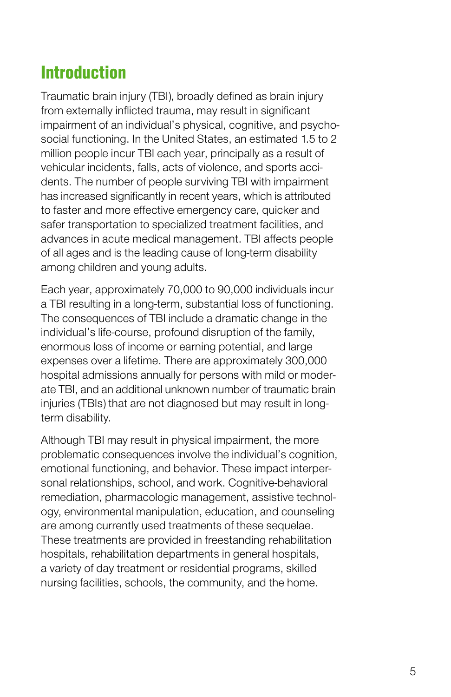## **Introduction**

Traumatic brain injury (TBI), broadly defined as brain injury from externally inflicted trauma, may result in significant impairment of an individual's physical, cognitive, and psychosocial functioning. In the United States, an estimated 1.5 to 2 million people incur TBI each year, principally as a result of vehicular incidents, falls, acts of violence, and sports accidents. The number of people surviving TBI with impairment has increased significantly in recent years, which is attributed to faster and more effective emergency care, quicker and safer transportation to specialized treatment facilities, and advances in acute medical management. TBI affects people of all ages and is the leading cause of long-term disability among children and young adults.

Each year, approximately 70,000 to 90,000 individuals incur a TBI resulting in a long-term, substantial loss of functioning. The consequences of TBI include a dramatic change in the individual's life-course, profound disruption of the family, enormous loss of income or earning potential, and large expenses over a lifetime. There are approximately 300,000 hospital admissions annually for persons with mild or moderate TBI, and an additional unknown number of traumatic brain injuries (TBIs) that are not diagnosed but may result in longterm disability.

Although TBI may result in physical impairment, the more problematic consequences involve the individual's cognition, emotional functioning, and behavior. These impact interpersonal relationships, school, and work. Cognitive-behavioral remediation, pharmacologic management, assistive technology, environmental manipulation, education, and counseling are among currently used treatments of these sequelae. These treatments are provided in freestanding rehabilitation hospitals, rehabilitation departments in general hospitals, a variety of day treatment or residential programs, skilled nursing facilities, schools, the community, and the home.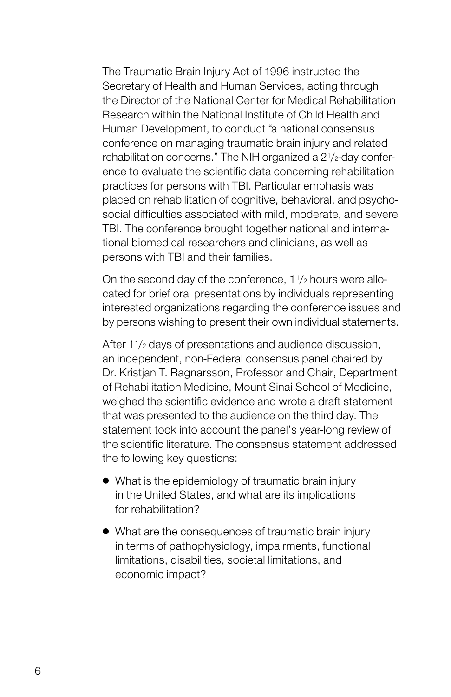The Traumatic Brain Injury Act of 1996 instructed the Secretary of Health and Human Services, acting through the Director of the National Center for Medical Rehabilitation Research within the National Institute of Child Health and Human Development, to conduct "a national consensus conference on managing traumatic brain injury and related rehabilitation concerns." The NIH organized a 2<sup>1</sup>/<sub>2</sub>-day conference to evaluate the scientific data concerning rehabilitation practices for persons with TBI. Particular emphasis was placed on rehabilitation of cognitive, behavioral, and psychosocial difficulties associated with mild, moderate, and severe TBI. The conference brought together national and international biomedical researchers and clinicians, as well as persons with TBI and their families.

On the second day of the conference,  $1\frac{1}{2}$  hours were allocated for brief oral presentations by individuals representing interested organizations regarding the conference issues and by persons wishing to present their own individual statements.

After 1<sup>1</sup>/<sub>2</sub> days of presentations and audience discussion, an independent, non-Federal consensus panel chaired by Dr. Kristjan T. Ragnarsson, Professor and Chair, Department of Rehabilitation Medicine, Mount Sinai School of Medicine, weighed the scientific evidence and wrote a draft statement that was presented to the audience on the third day. The statement took into account the panel's year-long review of the scientific literature. The consensus statement addressed the following key questions:

- What is the epidemiology of traumatic brain injury in the United States, and what are its implications for rehabilitation?
- What are the consequences of traumatic brain injury in terms of pathophysiology, impairments, functional limitations, disabilities, societal limitations, and economic impact?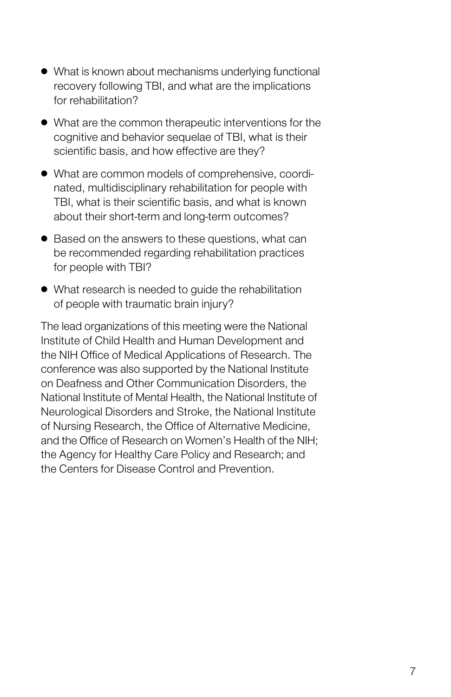- What is known about mechanisms underlying functional recovery following TBI, and what are the implications for rehabilitation?
- What are the common therapeutic interventions for the cognitive and behavior sequelae of TBI, what is their scientific basis, and how effective are they?
- ● What are common models of comprehensive, coordinated, multidisciplinary rehabilitation for people with TBI, what is their scientific basis, and what is known about their short-term and long-term outcomes?
- Based on the answers to these questions, what can be recommended regarding rehabilitation practices for people with TBI?
- What research is needed to guide the rehabilitation of people with traumatic brain injury?

The lead organizations of this meeting were the National Institute of Child Health and Human Development and the NIH Office of Medical Applications of Research. The conference was also supported by the National Institute on Deafness and Other Communication Disorders, the National Institute of Mental Health, the National Institute of Neurological Disorders and Stroke, the National Institute of Nursing Research, the Office of Alternative Medicine, and the Office of Research on Women's Health of the NIH; the Agency for Healthy Care Policy and Research; and the Centers for Disease Control and Prevention.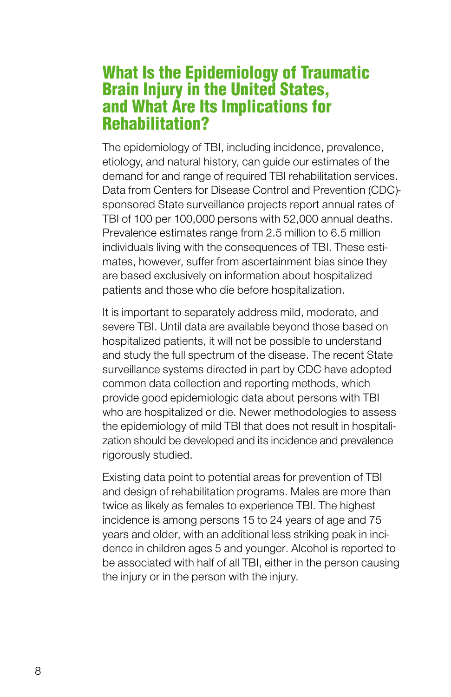## **What Is the Epidemiology of Traumatic Brain Injury in the United States, and What Are Its Implications for Rehabilitation?**

The epidemiology of TBI, including incidence, prevalence, etiology, and natural history, can guide our estimates of the demand for and range of required TBI rehabilitation services. Data from Centers for Disease Control and Prevention (CDC) sponsored State surveillance projects report annual rates of TBI of 100 per 100,000 persons with 52,000 annual deaths. Prevalence estimates range from 2.5 million to 6.5 million individuals living with the consequences of TBI. These estimates, however, suffer from ascertainment bias since they are based exclusively on information about hospitalized patients and those who die before hospitalization.

It is important to separately address mild, moderate, and severe TBI. Until data are available beyond those based on hospitalized patients, it will not be possible to understand and study the full spectrum of the disease. The recent State surveillance systems directed in part by CDC have adopted common data collection and reporting methods, which provide good epidemiologic data about persons with TBI who are hospitalized or die. Newer methodologies to assess the epidemiology of mild TBI that does not result in hospitalization should be developed and its incidence and prevalence rigorously studied.

Existing data point to potential areas for prevention of TBI and design of rehabilitation programs. Males are more than twice as likely as females to experience TBI. The highest incidence is among persons 15 to 24 years of age and 75 years and older, with an additional less striking peak in incidence in children ages 5 and younger. Alcohol is reported to be associated with half of all TBI, either in the person causing the injury or in the person with the injury.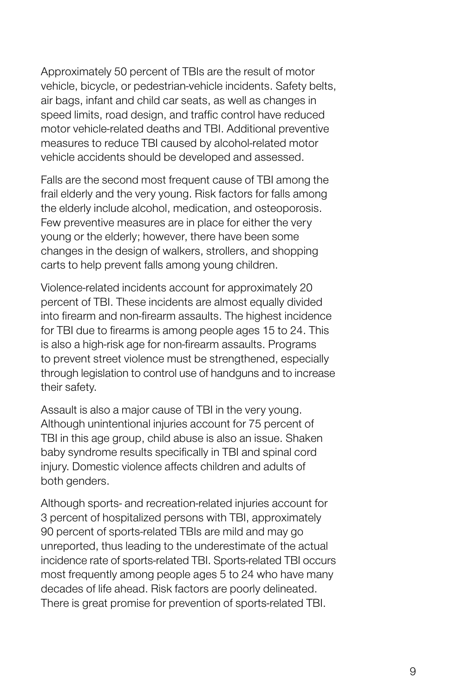Approximately 50 percent of TBIs are the result of motor vehicle, bicycle, or pedestrian-vehicle incidents. Safety belts, air bags, infant and child car seats, as well as changes in speed limits, road design, and traffic control have reduced motor vehicle-related deaths and TBI. Additional preventive measures to reduce TBI caused by alcohol-related motor vehicle accidents should be developed and assessed.

Falls are the second most frequent cause of TBI among the frail elderly and the very young. Risk factors for falls among the elderly include alcohol, medication, and osteoporosis. Few preventive measures are in place for either the very young or the elderly; however, there have been some changes in the design of walkers, strollers, and shopping carts to help prevent falls among young children.

Violence-related incidents account for approximately 20 percent of TBI. These incidents are almost equally divided into firearm and non-firearm assaults. The highest incidence for TBI due to firearms is among people ages 15 to 24. This is also a high-risk age for non-firearm assaults. Programs to prevent street violence must be strengthened, especially through legislation to control use of handguns and to increase their safety.

Assault is also a major cause of TBI in the very young. Although unintentional injuries account for 75 percent of TBI in this age group, child abuse is also an issue. Shaken baby syndrome results specifically in TBI and spinal cord injury. Domestic violence affects children and adults of both genders.

Although sports- and recreation-related injuries account for 3 percent of hospitalized persons with TBI, approximately 90 percent of sports-related TBIs are mild and may go unreported, thus leading to the underestimate of the actual incidence rate of sports-related TBI. Sports-related TBI occurs most frequently among people ages 5 to 24 who have many decades of life ahead. Risk factors are poorly delineated. There is great promise for prevention of sports-related TBI.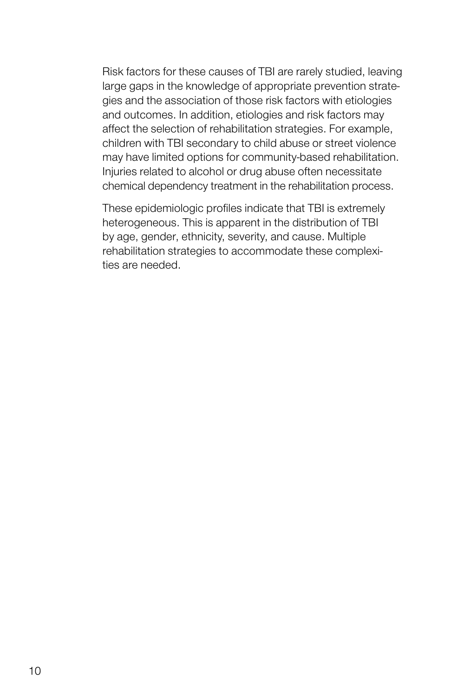Risk factors for these causes of TBI are rarely studied, leaving large gaps in the knowledge of appropriate prevention strategies and the association of those risk factors with etiologies and outcomes. In addition, etiologies and risk factors may affect the selection of rehabilitation strategies. For example, children with TBI secondary to child abuse or street violence may have limited options for community-based rehabilitation. Injuries related to alcohol or drug abuse often necessitate chemical dependency treatment in the rehabilitation process.

These epidemiologic profiles indicate that TBI is extremely heterogeneous. This is apparent in the distribution of TBI by age, gender, ethnicity, severity, and cause. Multiple rehabilitation strategies to accommodate these complexities are needed.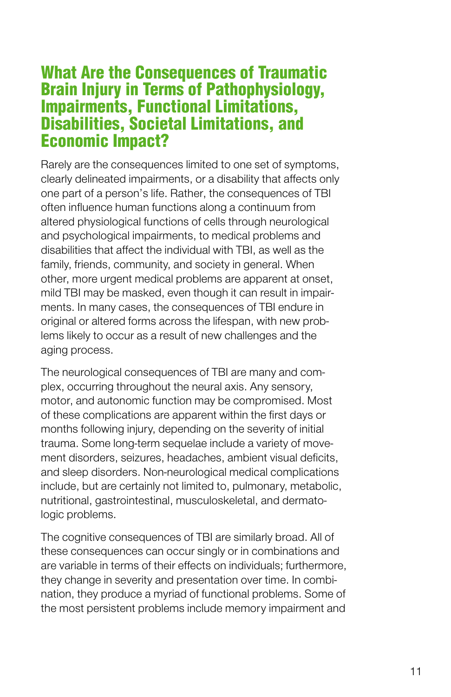## **What Are the Consequences of Traumatic Brain Injury in Terms of Pathophysiology, Impairments, Functional Limitations, Disabilities, Societal Limitations, and Economic Impact?**

Rarely are the consequences limited to one set of symptoms, clearly delineated impairments, or a disability that affects only one part of a person's life. Rather, the consequences of TBI often influence human functions along a continuum from altered physiological functions of cells through neurological and psychological impairments, to medical problems and disabilities that affect the individual with TBI, as well as the family, friends, community, and society in general. When other, more urgent medical problems are apparent at onset, mild TBI may be masked, even though it can result in impairments. In many cases, the consequences of TBI endure in original or altered forms across the lifespan, with new problems likely to occur as a result of new challenges and the aging process.

The neurological consequences of TBI are many and complex, occurring throughout the neural axis. Any sensory, motor, and autonomic function may be compromised. Most of these complications are apparent within the first days or months following injury, depending on the severity of initial trauma. Some long-term sequelae include a variety of movement disorders, seizures, headaches, ambient visual deficits, and sleep disorders. Non-neurological medical complications include, but are certainly not limited to, pulmonary, metabolic, nutritional, gastrointestinal, musculoskeletal, and dermatologic problems.

The cognitive consequences of TBI are similarly broad. All of these consequences can occur singly or in combinations and are variable in terms of their effects on individuals; furthermore, they change in severity and presentation over time. In combination, they produce a myriad of functional problems. Some of the most persistent problems include memory impairment and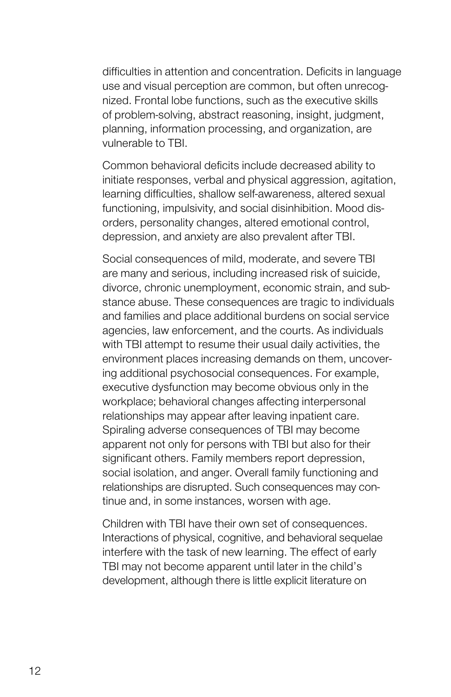difficulties in attention and concentration. Deficits in language use and visual perception are common, but often unrecognized. Frontal lobe functions, such as the executive skills of problem-solving, abstract reasoning, insight, judgment, planning, information processing, and organization, are vulnerable to TBI.

Common behavioral deficits include decreased ability to initiate responses, verbal and physical aggression, agitation, learning difficulties, shallow self-awareness, altered sexual functioning, impulsivity, and social disinhibition. Mood disorders, personality changes, altered emotional control, depression, and anxiety are also prevalent after TBI.

Social consequences of mild, moderate, and severe TBI are many and serious, including increased risk of suicide, divorce, chronic unemployment, economic strain, and substance abuse. These consequences are tragic to individuals and families and place additional burdens on social service agencies, law enforcement, and the courts. As individuals with TBI attempt to resume their usual daily activities, the environment places increasing demands on them, uncovering additional psychosocial consequences. For example, executive dysfunction may become obvious only in the workplace; behavioral changes affecting interpersonal relationships may appear after leaving inpatient care. Spiraling adverse consequences of TBI may become apparent not only for persons with TBI but also for their significant others. Family members report depression, social isolation, and anger. Overall family functioning and relationships are disrupted. Such consequences may continue and, in some instances, worsen with age.

Children with TBI have their own set of consequences. Interactions of physical, cognitive, and behavioral sequelae interfere with the task of new learning. The effect of early TBI may not become apparent until later in the child's development, although there is little explicit literature on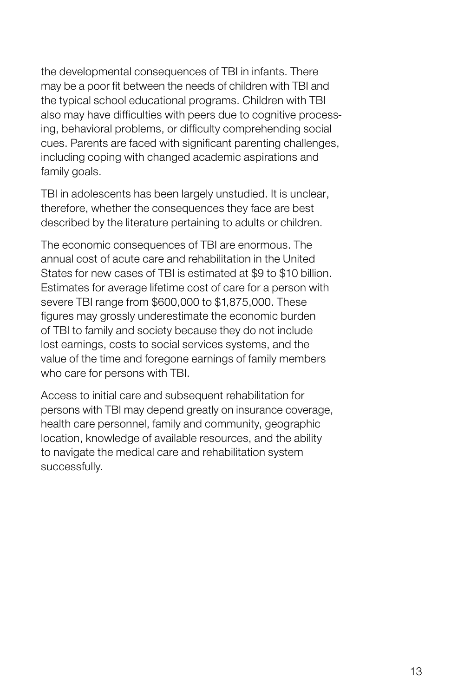the developmental consequences of TBI in infants. There may be a poor fit between the needs of children with TBI and the typical school educational programs. Children with TBI also may have difficulties with peers due to cognitive processing, behavioral problems, or difficulty comprehending social cues. Parents are faced with significant parenting challenges, including coping with changed academic aspirations and family goals.

TBI in adolescents has been largely unstudied. It is unclear, therefore, whether the consequences they face are best described by the literature pertaining to adults or children.

The economic consequences of TBI are enormous. The annual cost of acute care and rehabilitation in the United States for new cases of TBI is estimated at \$9 to \$10 billion. Estimates for average lifetime cost of care for a person with severe TBI range from \$600,000 to \$1,875,000. These figures may grossly underestimate the economic burden of TBI to family and society because they do not include lost earnings, costs to social services systems, and the value of the time and foregone earnings of family members who care for persons with TBI.

Access to initial care and subsequent rehabilitation for persons with TBI may depend greatly on insurance coverage, health care personnel, family and community, geographic location, knowledge of available resources, and the ability to navigate the medical care and rehabilitation system successfully.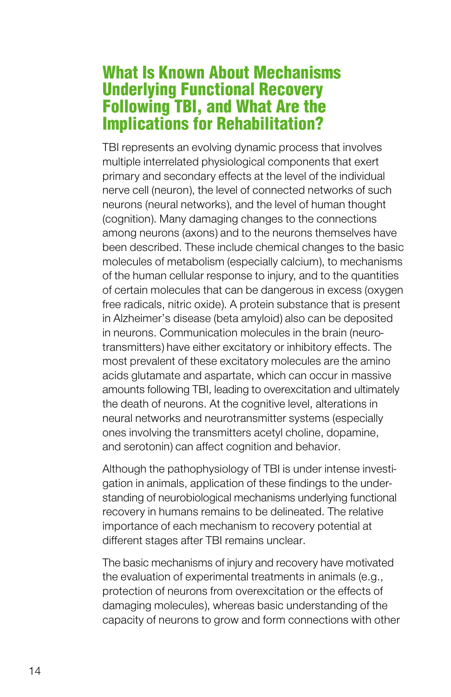## **What Is Known About Mechanisms Underlying Functional Recovery Following TBI, and What Are the Implications for Rehabilitation?**

TBI represents an evolving dynamic process that involves multiple interrelated physiological components that exert primary and secondary effects at the level of the individual nerve cell (neuron), the level of connected networks of such neurons (neural networks), and the level of human thought (cognition). Many damaging changes to the connections among neurons (axons) and to the neurons themselves have been described. These include chemical changes to the basic molecules of metabolism (especially calcium), to mechanisms of the human cellular response to injury, and to the quantities of certain molecules that can be dangerous in excess (oxygen free radicals, nitric oxide). A protein substance that is present in Alzheimer's disease (beta amyloid) also can be deposited in neurons. Communication molecules in the brain (neurotransmitters) have either excitatory or inhibitory effects. The most prevalent of these excitatory molecules are the amino acids glutamate and aspartate, which can occur in massive amounts following TBI, leading to overexcitation and ultimately the death of neurons. At the cognitive level, alterations in neural networks and neurotransmitter systems (especially ones involving the transmitters acetyl choline, dopamine, and serotonin) can affect cognition and behavior.

Although the pathophysiology of TBI is under intense investigation in animals, application of these findings to the understanding of neurobiological mechanisms underlying functional recovery in humans remains to be delineated. The relative importance of each mechanism to recovery potential at different stages after TBI remains unclear.

The basic mechanisms of injury and recovery have motivated the evaluation of experimental treatments in animals (e.g., protection of neurons from overexcitation or the effects of damaging molecules), whereas basic understanding of the capacity of neurons to grow and form connections with other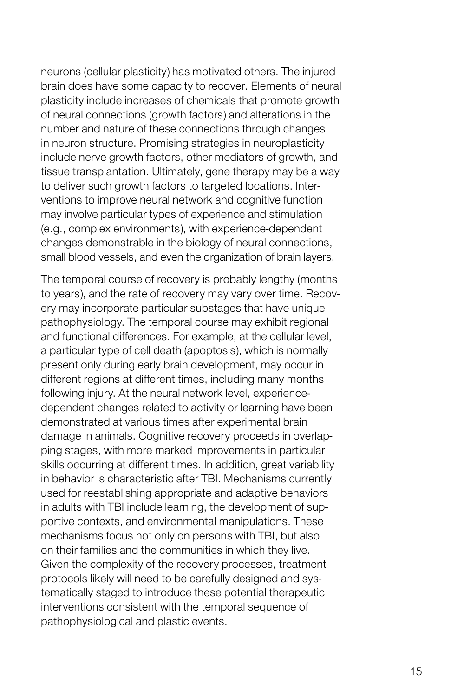neurons (cellular plasticity) has motivated others. The injured brain does have some capacity to recover. Elements of neural plasticity include increases of chemicals that promote growth of neural connections (growth factors) and alterations in the number and nature of these connections through changes in neuron structure. Promising strategies in neuroplasticity include nerve growth factors, other mediators of growth, and tissue transplantation. Ultimately, gene therapy may be a way to deliver such growth factors to targeted locations. Interventions to improve neural network and cognitive function may involve particular types of experience and stimulation (e.g., complex environments), with experience-dependent changes demonstrable in the biology of neural connections, small blood vessels, and even the organization of brain layers.

The temporal course of recovery is probably lengthy (months to years), and the rate of recovery may vary over time. Recovery may incorporate particular substages that have unique pathophysiology. The temporal course may exhibit regional and functional differences. For example, at the cellular level, a particular type of cell death (apoptosis), which is normally present only during early brain development, may occur in different regions at different times, including many months following injury. At the neural network level, experiencedependent changes related to activity or learning have been demonstrated at various times after experimental brain damage in animals. Cognitive recovery proceeds in overlapping stages, with more marked improvements in particular skills occurring at different times. In addition, great variability in behavior is characteristic after TBI. Mechanisms currently used for reestablishing appropriate and adaptive behaviors in adults with TBI include learning, the development of supportive contexts, and environmental manipulations. These mechanisms focus not only on persons with TBI, but also on their families and the communities in which they live. Given the complexity of the recovery processes, treatment protocols likely will need to be carefully designed and systematically staged to introduce these potential therapeutic interventions consistent with the temporal sequence of pathophysiological and plastic events.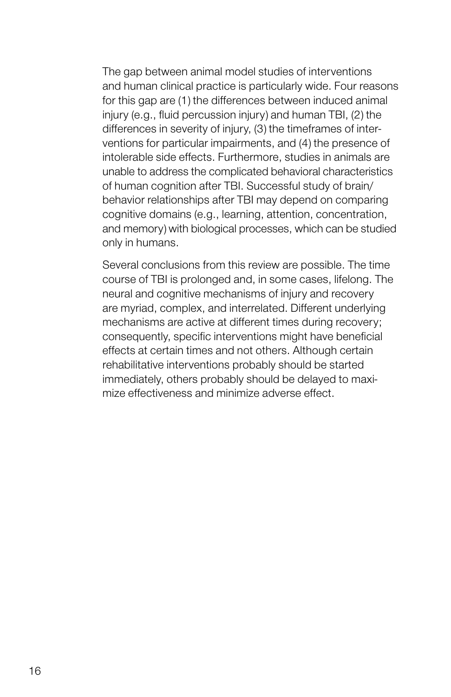The gap between animal model studies of interventions and human clinical practice is particularly wide. Four reasons for this gap are (1) the differences between induced animal injury (e.g., fluid percussion injury) and human TBI, (2) the differences in severity of injury, (3) the timeframes of interventions for particular impairments, and (4) the presence of intolerable side effects. Furthermore, studies in animals are unable to address the complicated behavioral characteristics of human cognition after TBI. Successful study of brain/ behavior relationships after TBI may depend on comparing cognitive domains (e.g., learning, attention, concentration, and memory) with biological processes, which can be studied only in humans.

Several conclusions from this review are possible. The time course of TBI is prolonged and, in some cases, lifelong. The neural and cognitive mechanisms of injury and recovery are myriad, complex, and interrelated. Different underlying mechanisms are active at different times during recovery; consequently, specific interventions might have beneficial effects at certain times and not others. Although certain rehabilitative interventions probably should be started immediately, others probably should be delayed to maximize effectiveness and minimize adverse effect.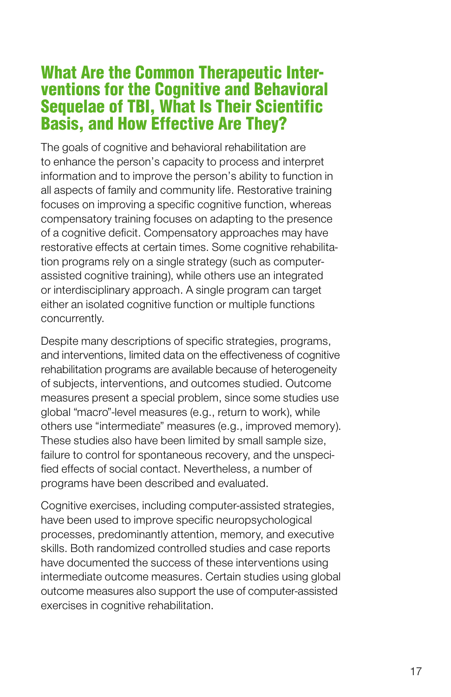## **What Are the Common Therapeutic Interventions for the Cognitive and Behavioral Sequelae of TBI, What Is Their Scientific Basis, and How Effective Are They?**

The goals of cognitive and behavioral rehabilitation are to enhance the person's capacity to process and interpret information and to improve the person's ability to function in all aspects of family and community life. Restorative training focuses on improving a specific cognitive function, whereas compensatory training focuses on adapting to the presence of a cognitive deficit. Compensatory approaches may have restorative effects at certain times. Some cognitive rehabilitation programs rely on a single strategy (such as computerassisted cognitive training), while others use an integrated or interdisciplinary approach. A single program can target either an isolated cognitive function or multiple functions concurrently.

Despite many descriptions of specific strategies, programs, and interventions, limited data on the effectiveness of cognitive rehabilitation programs are available because of heterogeneity of subjects, interventions, and outcomes studied. Outcome measures present a special problem, since some studies use global "macro"-level measures (e.g., return to work), while others use "intermediate" measures (e.g., improved memory). These studies also have been limited by small sample size, failure to control for spontaneous recovery, and the unspecified effects of social contact. Nevertheless, a number of programs have been described and evaluated.

Cognitive exercises, including computer-assisted strategies, have been used to improve specific neuropsychological processes, predominantly attention, memory, and executive skills. Both randomized controlled studies and case reports have documented the success of these interventions using intermediate outcome measures. Certain studies using global outcome measures also support the use of computer-assisted exercises in cognitive rehabilitation.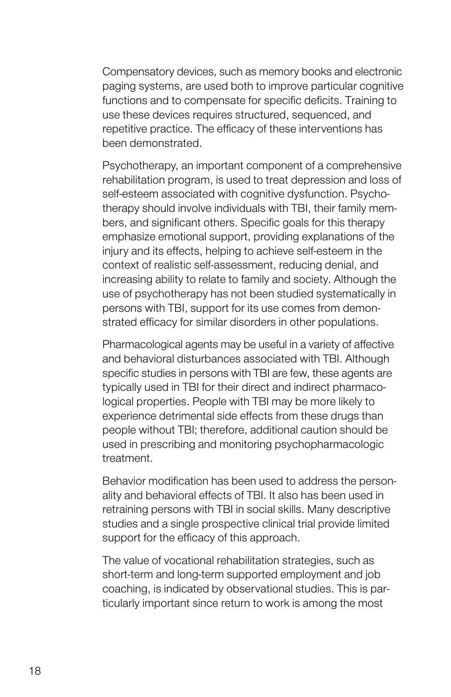Compensatory devices, such as memory books and electronic paging systems, are used both to improve particular cognitive functions and to compensate for specific deficits. Training to use these devices requires structured, sequenced, and repetitive practice. The efficacy of these interventions has been demonstrated.

Psychotherapy, an important component of a comprehensive rehabilitation program, is used to treat depression and loss of self-esteem associated with cognitive dysfunction. Psychotherapy should involve individuals with TBI, their family members, and significant others. Specific goals for this therapy emphasize emotional support, providing explanations of the injury and its effects, helping to achieve self-esteem in the context of realistic self-assessment, reducing denial, and increasing ability to relate to family and society. Although the use of psychotherapy has not been studied systematically in persons with TBI, support for its use comes from demonstrated efficacy for similar disorders in other populations.

Pharmacological agents may be useful in a variety of affective and behavioral disturbances associated with TBI. Although specific studies in persons with TBI are few, these agents are typically used in TBI for their direct and indirect pharmacological properties. People with TBI may be more likely to experience detrimental side effects from these drugs than people without TBI; therefore, additional caution should be used in prescribing and monitoring psychopharmacologic treatment.

Behavior modification has been used to address the personality and behavioral effects of TBI. It also has been used in retraining persons with TBI in social skills. Many descriptive studies and a single prospective clinical trial provide limited support for the efficacy of this approach.

The value of vocational rehabilitation strategies, such as short-term and long-term supported employment and job coaching, is indicated by observational studies. This is particularly important since return to work is among the most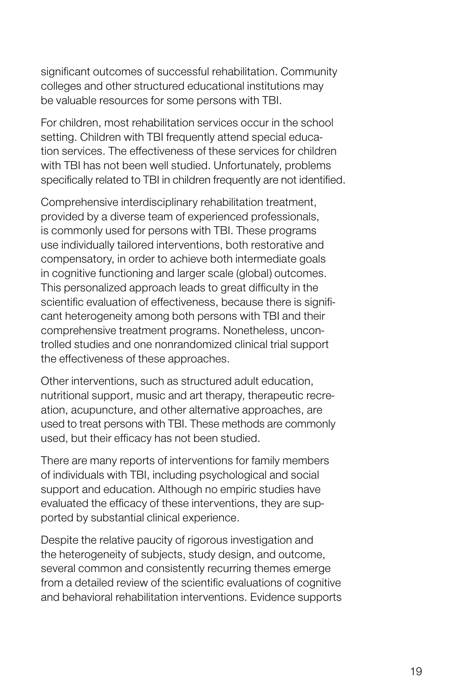significant outcomes of successful rehabilitation. Community colleges and other structured educational institutions may be valuable resources for some persons with TBI.

For children, most rehabilitation services occur in the school setting. Children with TBI frequently attend special education services. The effectiveness of these services for children with TBI has not been well studied. Unfortunately, problems specifically related to TBI in children frequently are not identified.

Comprehensive interdisciplinary rehabilitation treatment, provided by a diverse team of experienced professionals, is commonly used for persons with TBI. These programs use individually tailored interventions, both restorative and compensatory, in order to achieve both intermediate goals in cognitive functioning and larger scale (global) outcomes. This personalized approach leads to great difficulty in the scientific evaluation of effectiveness, because there is significant heterogeneity among both persons with TBI and their comprehensive treatment programs. Nonetheless, uncontrolled studies and one nonrandomized clinical trial support the effectiveness of these approaches.

Other interventions, such as structured adult education, nutritional support, music and art therapy, therapeutic recreation, acupuncture, and other alternative approaches, are used to treat persons with TBI. These methods are commonly used, but their efficacy has not been studied.

There are many reports of interventions for family members of individuals with TBI, including psychological and social support and education. Although no empiric studies have evaluated the efficacy of these interventions, they are supported by substantial clinical experience.

Despite the relative paucity of rigorous investigation and the heterogeneity of subjects, study design, and outcome, several common and consistently recurring themes emerge from a detailed review of the scientific evaluations of cognitive and behavioral rehabilitation interventions. Evidence supports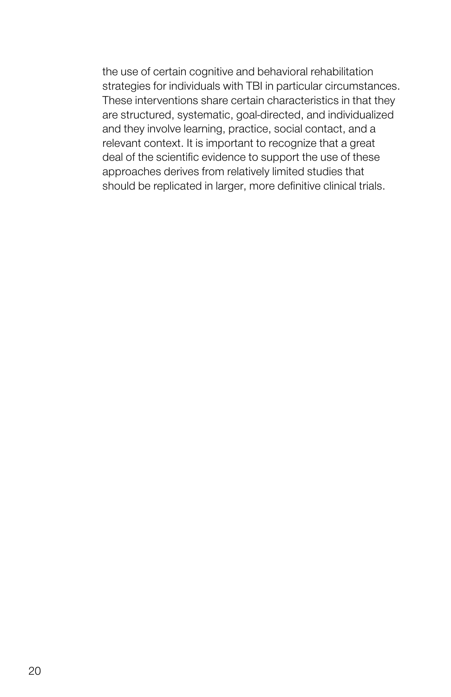the use of certain cognitive and behavioral rehabilitation strategies for individuals with TBI in particular circumstances. These interventions share certain characteristics in that they are structured, systematic, goal-directed, and individualized and they involve learning, practice, social contact, and a relevant context. It is important to recognize that a great deal of the scientific evidence to support the use of these approaches derives from relatively limited studies that should be replicated in larger, more definitive clinical trials.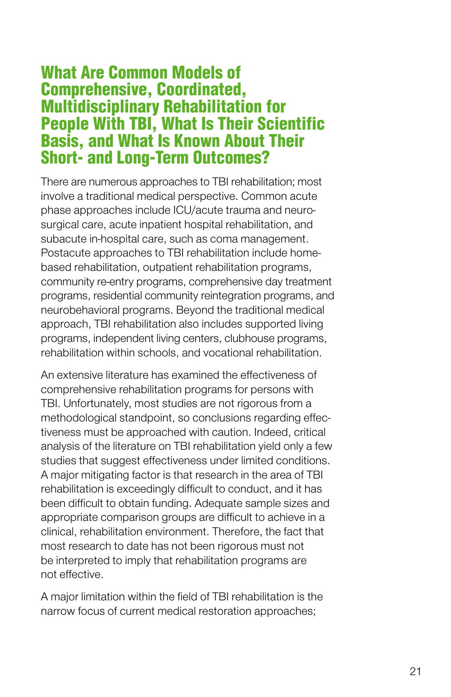## **What Are Common Models of Comprehensive, Coordinated, Multidisciplinary Rehabilitation for People With TBI, What Is Their Scientific Basis, and What Is Known About Their Short- and Long-Term Outcomes?**

There are numerous approaches to TBI rehabilitation; most involve a traditional medical perspective. Common acute phase approaches include ICU/acute trauma and neurosurgical care, acute inpatient hospital rehabilitation, and subacute in-hospital care, such as coma management. Postacute approaches to TBI rehabilitation include homebased rehabilitation, outpatient rehabilitation programs, community re-entry programs, comprehensive day treatment programs, residential community reintegration programs, and neurobehavioral programs. Beyond the traditional medical approach, TBI rehabilitation also includes supported living programs, independent living centers, clubhouse programs, rehabilitation within schools, and vocational rehabilitation.

An extensive literature has examined the effectiveness of comprehensive rehabilitation programs for persons with TBI. Unfortunately, most studies are not rigorous from a methodological standpoint, so conclusions regarding effectiveness must be approached with caution. Indeed, critical analysis of the literature on TBI rehabilitation yield only a few studies that suggest effectiveness under limited conditions. A major mitigating factor is that research in the area of TBI rehabilitation is exceedingly difficult to conduct, and it has been difficult to obtain funding. Adequate sample sizes and appropriate comparison groups are difficult to achieve in a clinical, rehabilitation environment. Therefore, the fact that most research to date has not been rigorous must not be interpreted to imply that rehabilitation programs are not effective.

A major limitation within the field of TBI rehabilitation is the narrow focus of current medical restoration approaches;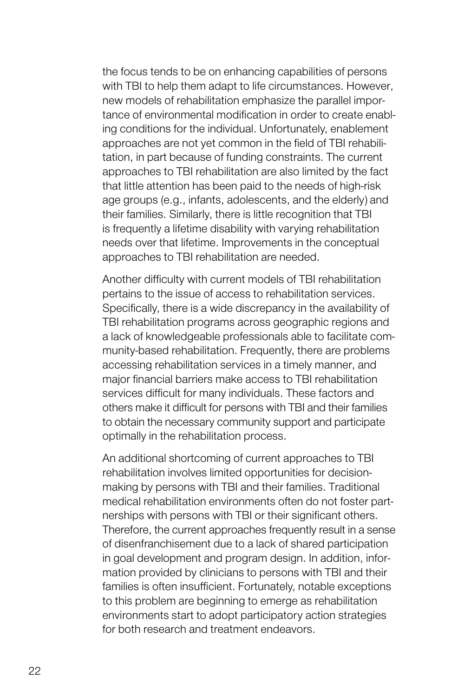the focus tends to be on enhancing capabilities of persons with TBI to help them adapt to life circumstances. However, new models of rehabilitation emphasize the parallel importance of environmental modification in order to create enabling conditions for the individual. Unfortunately, enablement approaches are not yet common in the field of TBI rehabilitation, in part because of funding constraints. The current approaches to TBI rehabilitation are also limited by the fact that little attention has been paid to the needs of high-risk age groups (e.g., infants, adolescents, and the elderly) and their families. Similarly, there is little recognition that TBI is frequently a lifetime disability with varying rehabilitation needs over that lifetime. Improvements in the conceptual approaches to TBI rehabilitation are needed.

Another difficulty with current models of TBI rehabilitation pertains to the issue of access to rehabilitation services. Specifically, there is a wide discrepancy in the availability of TBI rehabilitation programs across geographic regions and a lack of knowledgeable professionals able to facilitate community-based rehabilitation. Frequently, there are problems accessing rehabilitation services in a timely manner, and major financial barriers make access to TBI rehabilitation services difficult for many individuals. These factors and others make it difficult for persons with TBI and their families to obtain the necessary community support and participate optimally in the rehabilitation process.

An additional shortcoming of current approaches to TBI rehabilitation involves limited opportunities for decisionmaking by persons with TBI and their families. Traditional medical rehabilitation environments often do not foster partnerships with persons with TBI or their significant others. Therefore, the current approaches frequently result in a sense of disenfranchisement due to a lack of shared participation in goal development and program design. In addition, information provided by clinicians to persons with TBI and their families is often insufficient. Fortunately, notable exceptions to this problem are beginning to emerge as rehabilitation environments start to adopt participatory action strategies for both research and treatment endeavors.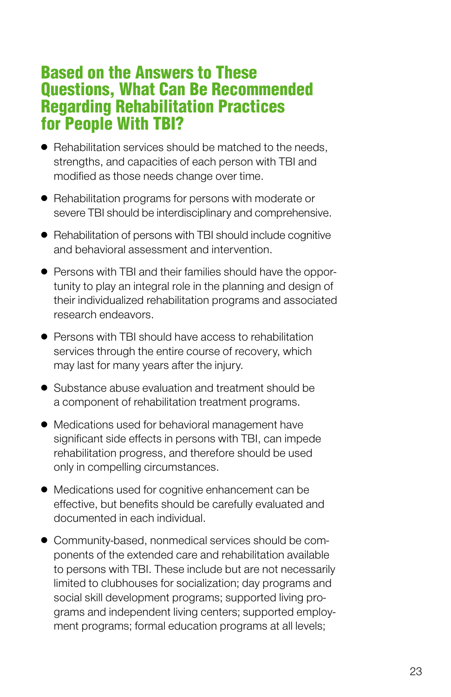## **Based on the Answers to These Questions, What Can Be Recommended Regarding Rehabilitation Practices for People With TBI?**

- $\bullet$  Rehabilitation services should be matched to the needs, strengths, and capacities of each person with TBI and modified as those needs change over time.
- ● Rehabilitation programs for persons with moderate or severe TBI should be interdisciplinary and comprehensive.
- Rehabilitation of persons with TBI should include cognitive and behavioral assessment and intervention.
- Persons with TBI and their families should have the opportunity to play an integral role in the planning and design of their individualized rehabilitation programs and associated research endeavors.
- Persons with TBI should have access to rehabilitation services through the entire course of recovery, which may last for many years after the injury.
- Substance abuse evaluation and treatment should be a component of rehabilitation treatment programs.
- Medications used for behavioral management have significant side effects in persons with TBI, can impede rehabilitation progress, and therefore should be used only in compelling circumstances.
- Medications used for cognitive enhancement can be effective, but benefits should be carefully evaluated and documented in each individual.
- Community-based, nonmedical services should be components of the extended care and rehabilitation available to persons with TBI. These include but are not necessarily limited to clubhouses for socialization; day programs and social skill development programs; supported living programs and independent living centers; supported employment programs; formal education programs at all levels;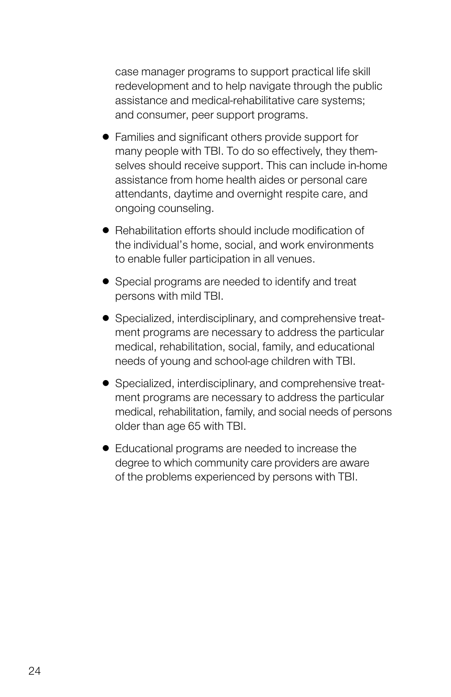case manager programs to support practical life skill redevelopment and to help navigate through the public assistance and medical-rehabilitative care systems; and consumer, peer support programs.

- Families and significant others provide support for many people with TBI. To do so effectively, they themselves should receive support. This can include in-home assistance from home health aides or personal care attendants, daytime and overnight respite care, and ongoing counseling.
- Rehabilitation efforts should include modification of the individual's home, social, and work environments to enable fuller participation in all venues.
- Special programs are needed to identify and treat persons with mild TBI.
- Specialized, interdisciplinary, and comprehensive treatment programs are necessary to address the particular medical, rehabilitation, social, family, and educational needs of young and school-age children with TBI.
- Specialized, interdisciplinary, and comprehensive treatment programs are necessary to address the particular medical, rehabilitation, family, and social needs of persons older than age 65 with TBI.
- Educational programs are needed to increase the degree to which community care providers are aware of the problems experienced by persons with TBI.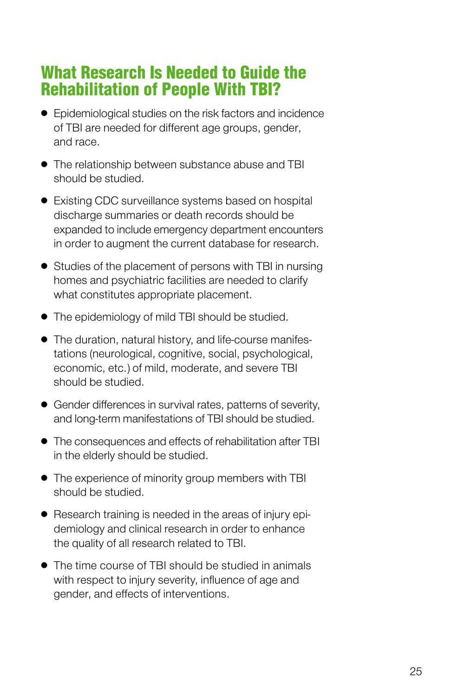## **What Research Is Needed to Guide the Rehabilitation of People With TBI?**

- Epidemiological studies on the risk factors and incidence of TBI are needed for different age groups, gender, and race.
- The relationship between substance abuse and TBI should be studied.
- Existing CDC surveillance systems based on hospital discharge summaries or death records should be expanded to include emergency department encounters in order to augment the current database for research.
- Studies of the placement of persons with TBI in nursing homes and psychiatric facilities are needed to clarify what constitutes appropriate placement.
- **•** The epidemiology of mild TBI should be studied.
- The duration, natural history, and life-course manifestations (neurological, cognitive, social, psychological, economic, etc.) of mild, moderate, and severe TBI should be studied.
- Gender differences in survival rates, patterns of severity, and long-term manifestations of TBI should be studied.
- The consequences and effects of rehabilitation after TBI in the elderly should be studied.
- The experience of minority group members with TBI should be studied.
- Research training is needed in the areas of injury epidemiology and clinical research in order to enhance the quality of all research related to TBI.
- The time course of TBI should be studied in animals with respect to injury severity, influence of age and gender, and effects of interventions.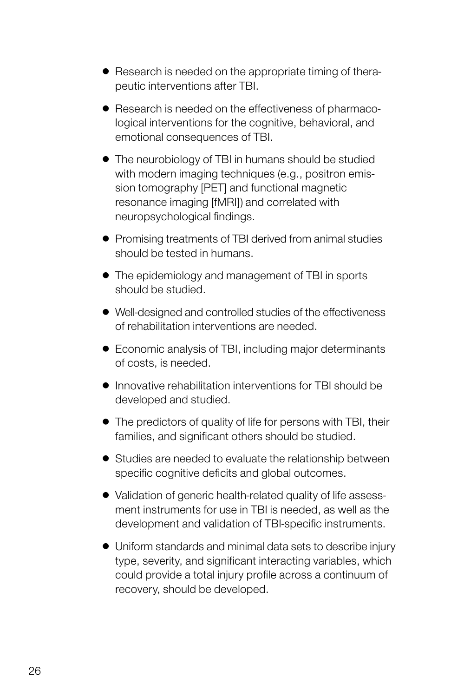- Research is needed on the appropriate timing of therapeutic interventions after TBI.
- Research is needed on the effectiveness of pharmacological interventions for the cognitive, behavioral, and emotional consequences of TBI.
- The neurobiology of TBI in humans should be studied with modern imaging techniques (e.g., positron emission tomography [PET] and functional magnetic resonance imaging [fMRI]) and correlated with neuropsychological findings.
- Promising treatments of TBI derived from animal studies should be tested in humans.
- The epidemiology and management of TBI in sports should be studied.
- Well-designed and controlled studies of the effectiveness of rehabilitation interventions are needed.
- Economic analysis of TBI, including major determinants of costs, is needed.
- Innovative rehabilitation interventions for TBI should be developed and studied.
- The predictors of quality of life for persons with TBI, their families, and significant others should be studied.
- Studies are needed to evaluate the relationship between specific cognitive deficits and global outcomes.
- Validation of generic health-related quality of life assessment instruments for use in TBI is needed, as well as the development and validation of TBI-specific instruments.
- Uniform standards and minimal data sets to describe injury type, severity, and significant interacting variables, which could provide a total injury profile across a continuum of recovery, should be developed.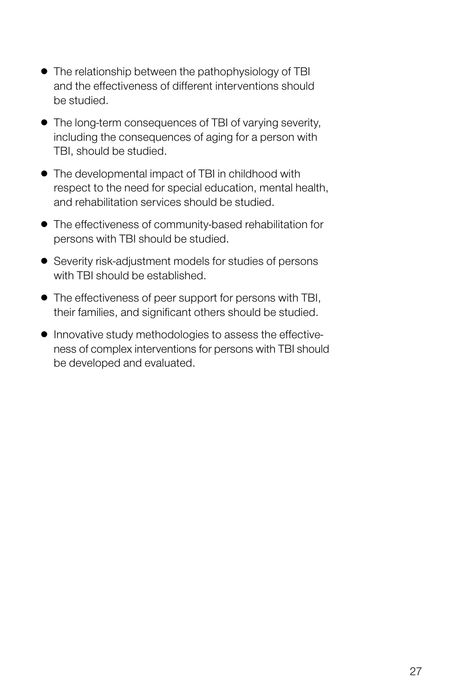- The relationship between the pathophysiology of TBI and the effectiveness of different interventions should be studied.
- ● The long-term consequences of TBI of varying severity, including the consequences of aging for a person with TBI, should be studied.
- The developmental impact of TBI in childhood with respect to the need for special education, mental health, and rehabilitation services should be studied.
- ● The effectiveness of community-based rehabilitation for persons with TBI should be studied.
- ● Severity risk-adjustment models for studies of persons with TBI should be established.
- The effectiveness of peer support for persons with TBI, their families, and significant others should be studied.
- Innovative study methodologies to assess the effectiveness of complex interventions for persons with TBI should be developed and evaluated.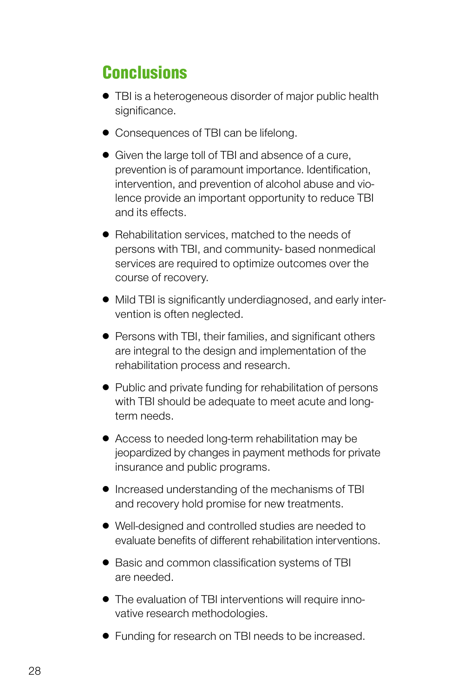## **Conclusions**

- TBI is a heterogeneous disorder of major public health significance.
- Consequences of TBI can be lifelong.
- Given the large toll of TBI and absence of a cure, prevention is of paramount importance. Identification, intervention, and prevention of alcohol abuse and violence provide an important opportunity to reduce TBI and its effects.
- Rehabilitation services, matched to the needs of persons with TBI, and community- based nonmedical services are required to optimize outcomes over the course of recovery.
- Mild TBI is significantly underdiagnosed, and early intervention is often neglected.
- Persons with TBI, their families, and significant others are integral to the design and implementation of the rehabilitation process and research.
- Public and private funding for rehabilitation of persons with TBI should be adequate to meet acute and longterm needs.
- Access to needed long-term rehabilitation may be jeopardized by changes in payment methods for private insurance and public programs.
- Increased understanding of the mechanisms of TBI and recovery hold promise for new treatments.
- Well-designed and controlled studies are needed to evaluate benefits of different rehabilitation interventions.
- Basic and common classification systems of TBI are needed.
- **•** The evaluation of TBI interventions will require innovative research methodologies.
- Funding for research on TBI needs to be increased.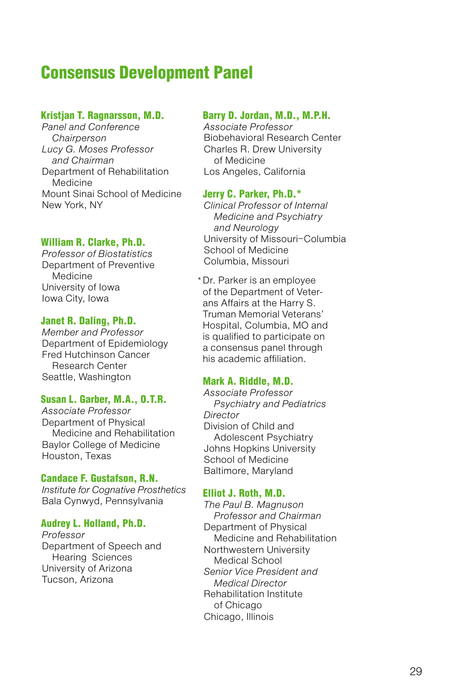## **Consensus Development Panel**

#### **Kristjan T. Ragnarsson, M.D.**

Panel and Conference Chairperson Lucy G. Moses Professor and Chairman Department of Rehabilitation Medicine Mount Sinai School of Medicine New York, NY

#### **William R. Clarke, Ph.D.**

Professor of Biostatistics Department of Preventive Medicine University of Iowa Iowa City, Iowa

#### **Janet R. Daling, Ph.D.**

Member and Professor Department of Epidemiology Fred Hutchinson Cancer Research Center Seattle, Washington

#### **Susan L. Garber, M.A., O.T.R.**

Associate Professor Department of Physical Medicine and Rehabilitation Baylor College of Medicine Houston, Texas

#### **Candace F. Gustafson, R.N.**

Institute for Cognative Prosthetics Bala Cynwyd, Pennsylvania

#### **Audrey L. Holland, Ph.D.**

Professor Department of Speech and Hearing Sciences University of Arizona Tucson, Arizona

#### **Barry D. Jordan, M.D., M.P.H.**

Associate Professor Biobehavioral Research Center Charles R. Drew University of Medicine Los Angeles, California

#### **Jerry C. Parker, Ph.D.\***

Clinical Professor of Internal Medicine and Psychiatry and Neurology University of Missouri–Columbia School of Medicine Columbia, Missouri

\*Dr. Parker is an employee of the Department of Veterans Affairs at the Harry S. Truman Memorial Veterans' Hospital, Columbia, MO and is qualified to participate on a consensus panel through his academic affiliation.

#### **Mark A. Riddle, M.D.**

Associate Professor Psychiatry and Pediatrics **Director** Division of Child and Adolescent Psychiatry Johns Hopkins University School of Medicine Baltimore, Maryland

#### **Elliot J. Roth, M.D.**

The Paul B. Magnuson Professor and Chairman Department of Physical Medicine and Rehabilitation Northwestern University Medical School Senior Vice President and Medical Director Rehabilitation Institute of Chicago Chicago, Illinois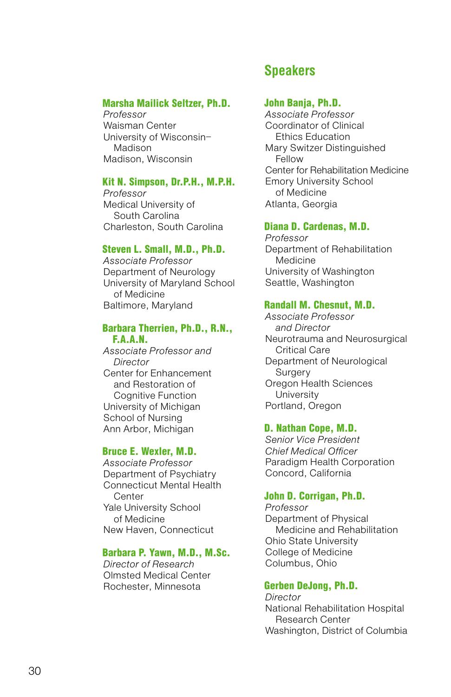#### **Marsha Mailick Seltzer, Ph.D.**

Professor Waisman Center University of Wisconsin– Madison Madison, Wisconsin

#### **Kit N. Simpson, Dr.P.H., M.P.H.**

Professor Medical University of South Carolina Charleston, South Carolina

#### **Steven L. Small, M.D., Ph.D.**

Associate Professor Department of Neurology University of Maryland School of Medicine Baltimore, Maryland

#### **Barbara Therrien, Ph.D., R.N., F.A.A.N.**

Associate Professor and **Director** Center for Enhancement and Restoration of Cognitive Function University of Michigan School of Nursing Ann Arbor, Michigan

#### **Bruce E. Wexler, M.D.**

Associate Professor Department of Psychiatry Connecticut Mental Health **Center** Yale University School of Medicine New Haven, Connecticut

#### **Barbara P. Yawn, M.D., M.Sc.**

Director of Research Olmsted Medical Center Rochester, Minnesota

### **Speakers**

#### **John Banja, Ph.D.**

Associate Professor Coordinator of Clinical Ethics Education Mary Switzer Distinguished Fellow Center for Rehabilitation Medicine Emory University School of Medicine Atlanta, Georgia

#### **Diana D. Cardenas, M.D.**

Professor Department of Rehabilitation Medicine University of Washington Seattle, Washington

#### **Randall M. Chesnut, M.D.**

Associate Professor and Director Neurotrauma and Neurosurgical Critical Care Department of Neurological Surgery Oregon Health Sciences **University** Portland, Oregon

#### **D. Nathan Cope, M.D.**

Senior Vice President Chief Medical Officer Paradigm Health Corporation Concord, California

#### **John D. Corrigan, Ph.D.**

Professor Department of Physical Medicine and Rehabilitation Ohio State University College of Medicine Columbus, Ohio

#### **Gerben DeJong, Ph.D.**

**Director** National Rehabilitation Hospital Research Center Washington, District of Columbia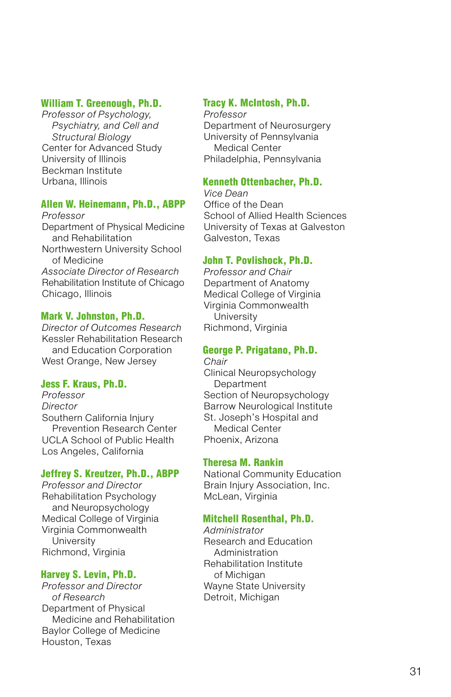#### **William T. Greenough, Ph.D.**

Professor of Psychology, Psychiatry, and Cell and Structural Biology Center for Advanced Study University of Illinois Beckman Institute Urbana, Illinois

#### **Allen W. Heinemann, Ph.D., ABPP**

Professor Department of Physical Medicine and Rehabilitation Northwestern University School of Medicine Associate Director of Research Rehabilitation Institute of Chicago Chicago, Illinois

#### **Mark V. Johnston, Ph.D.**

Director of Outcomes Research Kessler Rehabilitation Research and Education Corporation West Orange, New Jersey

#### **Jess F. Kraus, Ph.D.**

Professor Director Southern California Injury Prevention Research Center UCLA School of Public Health Los Angeles, California

#### **Jeffrey S. Kreutzer, Ph.D., ABPP**

Professor and Director Rehabilitation Psychology and Neuropsychology Medical College of Virginia Virginia Commonwealth **University** Richmond, Virginia

#### **Harvey S. Levin, Ph.D.**

Professor and Director of Research Department of Physical Medicine and Rehabilitation Baylor College of Medicine Houston, Texas

#### **Tracy K. McIntosh, Ph.D.**

Professor Department of Neurosurgery University of Pennsylvania Medical Center Philadelphia, Pennsylvania

#### **Kenneth Ottenbacher, Ph.D.**

Vice Dean Office of the Dean School of Allied Health Sciences University of Texas at Galveston Galveston, Texas

#### **John T. Povlishock, Ph.D.**

Professor and Chair Department of Anatomy Medical College of Virginia Virginia Commonwealth **University** Richmond, Virginia

#### **George P. Prigatano, Ph.D. Chair**

Clinical Neuropsychology Department Section of Neuropsychology Barrow Neurological Institute St. Joseph's Hospital and Medical Center Phoenix, Arizona

#### **Theresa M. Rankin**

National Community Education Brain Injury Association, Inc. McLean, Virginia

#### **Mitchell Rosenthal, Ph.D.**

Administrator Research and Education Administration Rehabilitation Institute of Michigan Wayne State University Detroit, Michigan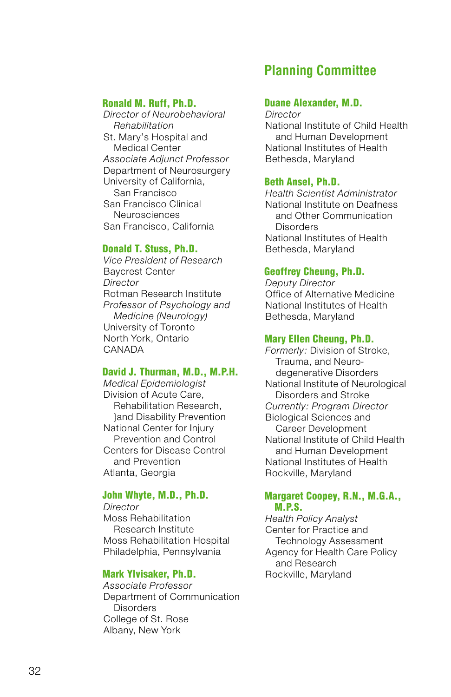#### **Ronald M. Ruff, Ph.D.**

Director of Neurobehavioral Rehabilitation St. Mary's Hospital and Medical Center Associate Adjunct Professor Department of Neurosurgery University of California, San Francisco San Francisco Clinical Neurosciences San Francisco, California

#### **Donald T. Stuss, Ph.D.**

Vice President of Research Baycrest Center **Director** Rotman Research Institute Professor of Psychology and Medicine (Neurology) University of Toronto North York, Ontario CANADA

#### **David J. Thurman, M.D., M.P.H.**

Medical Epidemiologist Division of Acute Care, Rehabilitation Research, }and Disability Prevention National Center for Injury Prevention and Control Centers for Disease Control and Prevention Atlanta, Georgia

#### **John Whyte, M.D., Ph.D.**

**Director** Moss Rehabilitation Research Institute Moss Rehabilitation Hospital Philadelphia, Pennsylvania

#### **Mark Ylvisaker, Ph.D.**

Associate Professor Department of Communication **Disorders** College of St. Rose Albany, New York

### **Planning Committee**

#### **Duane Alexander, M.D.**

**Director** National Institute of Child Health and Human Development National Institutes of Health Bethesda, Maryland

#### **Beth Ansel, Ph.D.**

Health Scientist Administrator National Institute on Deafness and Other Communication Disorders National Institutes of Health Bethesda, Maryland

#### **Geoffrey Cheung, Ph.D.**

Deputy Director Office of Alternative Medicine National Institutes of Health Bethesda, Maryland

#### **Mary Ellen Cheung, Ph.D.**

Formerly: Division of Stroke, Trauma, and Neurodegenerative Disorders National Institute of Neurological Disorders and Stroke Currently: Program Director Biological Sciences and Career Development National Institute of Child Health and Human Development National Institutes of Health Rockville, Maryland

#### **Margaret Coopey, R.N., M.G.A., M.P.S.**

Health Policy Analyst Center for Practice and Technology Assessment Agency for Health Care Policy and Research Rockville, Maryland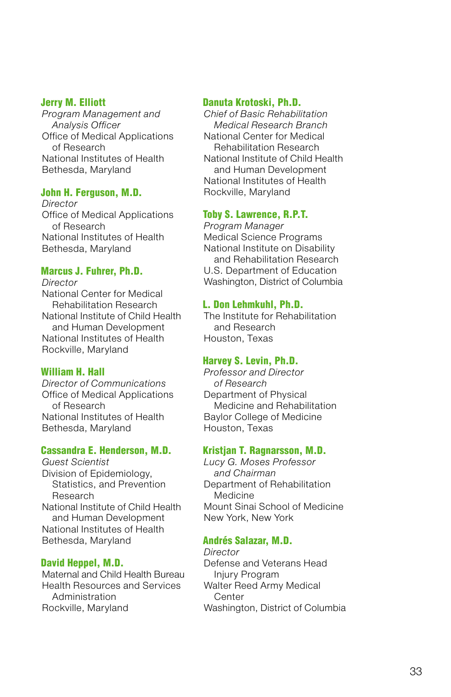#### **Jerry M. Elliott**

Program Management and Analysis Officer Office of Medical Applications of Research National Institutes of Health Bethesda, Maryland

#### **John H. Ferguson, M.D.**

Director Office of Medical Applications of Research National Institutes of Health Bethesda, Maryland

#### **Marcus J. Fuhrer, Ph.D.**

**Director** National Center for Medical Rehabilitation Research National Institute of Child Health and Human Development National Institutes of Health Rockville, Maryland

#### **William H. Hall**

Director of Communications Office of Medical Applications of Research National Institutes of Health Bethesda, Maryland

#### **Cassandra E. Henderson, M.D.**

Guest Scientist Division of Epidemiology, Statistics, and Prevention Research National Institute of Child Health and Human Development National Institutes of Health Bethesda, Maryland

#### **David Heppel, M.D.**

Maternal and Child Health Bureau Health Resources and Services Administration Rockville, Maryland

#### **Danuta Krotoski, Ph.D.**

Chief of Basic Rehabilitation Medical Research Branch National Center for Medical Rehabilitation Research National Institute of Child Health and Human Development National Institutes of Health Rockville, Maryland

#### **Toby S. Lawrence, R.P.T.**

Program Manager Medical Science Programs National Institute on Disability and Rehabilitation Research U.S. Department of Education Washington, District of Columbia

#### **L. Don Lehmkuhl, Ph.D.**

The Institute for Rehabilitation and Research Houston, Texas

#### **Harvey S. Levin, Ph.D.**

Professor and Director of Research Department of Physical Medicine and Rehabilitation Baylor College of Medicine Houston, Texas

#### **Kristjan T. Ragnarsson, M.D.**

Lucy G. Moses Professor and Chairman Department of Rehabilitation Medicine Mount Sinai School of Medicine New York, New York

#### **Andrés Salazar, M.D.**

**Director** Defense and Veterans Head Injury Program Walter Reed Army Medical Center Washington, District of Columbia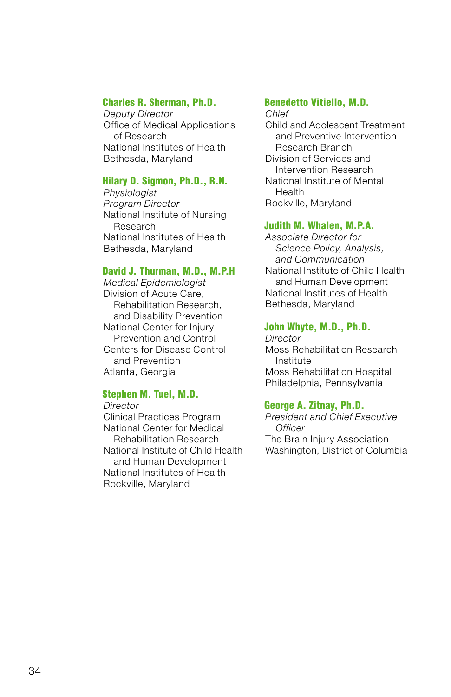#### **Charles R. Sherman, Ph.D.**

Deputy Director Office of Medical Applications of Research National Institutes of Health Bethesda, Maryland

#### **Hilary D. Sigmon, Ph.D., R.N.**

Physiologist Program Director National Institute of Nursing Research National Institutes of Health Bethesda, Maryland

#### **David J. Thurman, M.D., M.P.H**

Medical Epidemiologist Division of Acute Care, Rehabilitation Research, and Disability Prevention National Center for Injury Prevention and Control Centers for Disease Control and Prevention Atlanta, Georgia

#### **Stephen M. Tuel, M.D.**

**Director** Clinical Practices Program National Center for Medical Rehabilitation Research National Institute of Child Health and Human Development National Institutes of Health Rockville, Maryland

#### **Benedetto Vitiello, M.D.**

Chief Child and Adolescent Treatment and Preventive Intervention Research Branch Division of Services and Intervention Research National Institute of Mental Health Rockville, Maryland

#### **Judith M. Whalen, M.P.A.**

Associate Director for Science Policy, Analysis, and Communication National Institute of Child Health and Human Development National Institutes of Health Bethesda, Maryland

#### **John Whyte, M.D., Ph.D.**

**Director** Moss Rehabilitation Research Institute Moss Rehabilitation Hospital Philadelphia, Pennsylvania

#### **George A. Zitnay, Ph.D.**

President and Chief Executive **Officer** The Brain Injury Association Washington, District of Columbia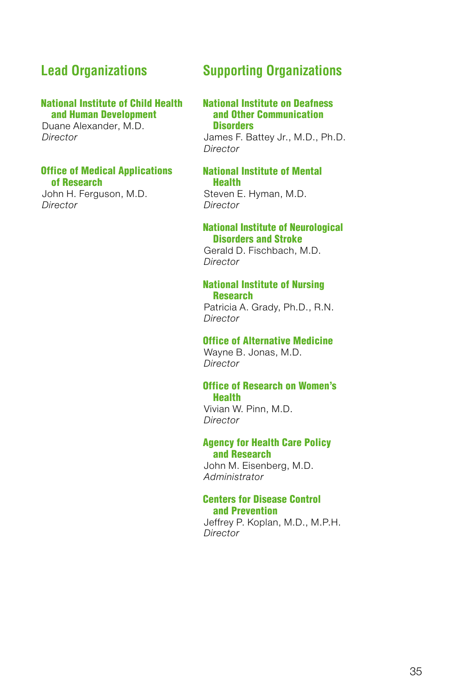### **Lead Organizations**

#### **National Institute of Child Health and Human Development**

Duane Alexander, M.D. **Director** 

#### **Office of Medical Applications of Research**

John H. Ferguson, M.D. **Director** 

### **Supporting Organizations**

#### **National Institute on Deafness and Other Communication Disorders**

James F. Battey Jr., M.D., Ph.D. Director

#### **National Institute of Mental Health**

Steven E. Hyman, M.D. **Director** 

#### **National Institute of Neurological Disorders and Stroke**

Gerald D. Fischbach, M.D. **Director** 

#### **National Institute of Nursing Research**

Patricia A. Grady, Ph.D., R.N. **Director** 

#### **Office of Alternative Medicine**

Wayne B. Jonas, M.D. **Director** 

#### **Office of Research on Women's Health**

Vivian W. Pinn, M.D. **Director** 

#### **Agency for Health Care Policy and Research**

John M. Eisenberg, M.D. Administrator

#### **Centers for Disease Control and Prevention**

Jeffrey P. Koplan, M.D., M.P.H. **Director**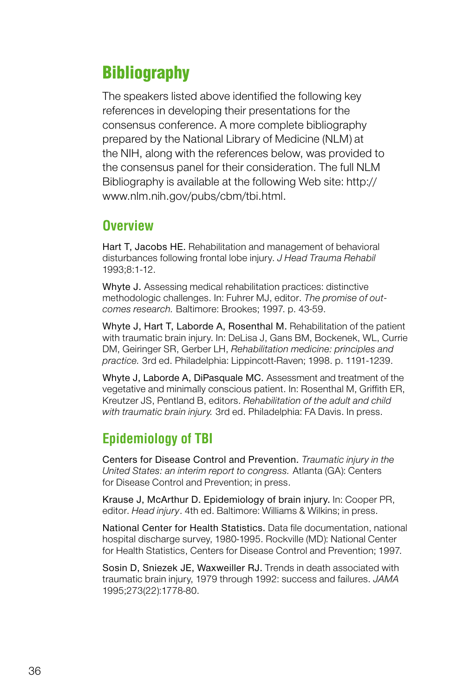## **Bibliography**

The speakers listed above identified the following key references in developing their presentations for the consensus conference. A more complete bibliography prepared by the National Library of Medicine (NLM) at the NIH, along with the references below, was provided to the consensus panel for their consideration. The full NLM Bibliography is available at the following Web site: http:// www.nlm.nih.gov/pubs/cbm/tbi.html.

### **Overview**

Hart T, Jacobs HE. Rehabilitation and management of behavioral disturbances following frontal lobe injury. J Head Trauma Rehabil 1993;8:1-12.

Whyte J. Assessing medical rehabilitation practices: distinctive methodologic challenges. In: Fuhrer MJ, editor. The promise of outcomes research. Baltimore: Brookes; 1997. p. 43-59.

Whyte J, Hart T, Laborde A, Rosenthal M. Rehabilitation of the patient with traumatic brain injury. In: DeLisa J, Gans BM, Bockenek, WL, Currie DM, Geiringer SR, Gerber LH, Rehabilitation medicine: principles and practice. 3rd ed. Philadelphia: Lippincott-Raven; 1998. p. 1191-1239.

Whyte J, Laborde A, DiPasquale MC. Assessment and treatment of the vegetative and minimally conscious patient. In: Rosenthal M, Griffith ER, Kreutzer JS, Pentland B, editors. Rehabilitation of the adult and child with traumatic brain injury. 3rd ed. Philadelphia: FA Davis. In press.

## **Epidemiology of TBI**

Centers for Disease Control and Prevention. Traumatic injury in the United States: an interim report to congress. Atlanta (GA): Centers for Disease Control and Prevention; in press.

Krause J, McArthur D. Epidemiology of brain injury. In: Cooper PR, editor. Head injury. 4th ed. Baltimore: Williams & Wilkins; in press.

National Center for Health Statistics. Data file documentation, national hospital discharge survey, 1980-1995. Rockville (MD): National Center for Health Statistics, Centers for Disease Control and Prevention; 1997.

Sosin D, Sniezek JE, Waxweiller RJ. Trends in death associated with traumatic brain injury, 1979 through 1992: success and failures. JAMA 1995;273(22):1778-80.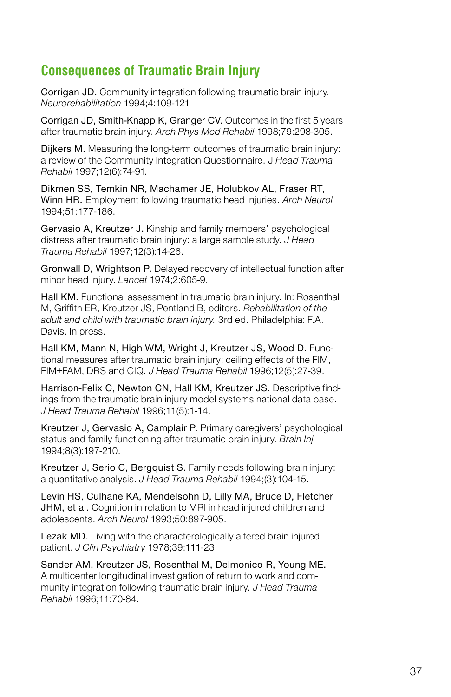### **Consequences of Traumatic Brain Injury**

Corrigan JD. Community integration following traumatic brain injury. Neurorehabilitation 1994;4:109-121.

Corrigan JD, Smith-Knapp K, Granger CV. Outcomes in the first 5 years after traumatic brain injury. Arch Phys Med Rehabil 1998;79:298-305.

Dijkers M. Measuring the long-term outcomes of traumatic brain injury: a review of the Community Integration Questionnaire. J Head Trauma Rehabil 1997;12(6):74-91.

Dikmen SS, Temkin NR, Machamer JE, Holubkov AL, Fraser RT, Winn HR. Employment following traumatic head injuries. Arch Neurol 1994;51:177-186.

Gervasio A, Kreutzer J. Kinship and family members' psychological distress after traumatic brain injury: a large sample study. J Head Trauma Rehabil 1997;12(3):14-26.

Gronwall D, Wrightson P. Delayed recovery of intellectual function after minor head injury. Lancet 1974;2:605-9.

Hall KM. Functional assessment in traumatic brain injury. In: Rosenthal M, Griffith ER, Kreutzer JS, Pentland B, editors. Rehabilitation of the adult and child with traumatic brain injury. 3rd ed. Philadelphia: F.A. Davis. In press.

Hall KM, Mann N, High WM, Wright J, Kreutzer JS, Wood D. Functional measures after traumatic brain injury: ceiling effects of the FIM, FIM+FAM, DRS and CIQ. J Head Trauma Rehabil 1996;12(5):27-39.

Harrison-Felix C, Newton CN, Hall KM, Kreutzer JS. Descriptive findings from the traumatic brain injury model systems national data base. J Head Trauma Rehabil 1996;11(5):1-14.

Kreutzer J, Gervasio A, Camplair P. Primary caregivers' psychological status and family functioning after traumatic brain injury. Brain Inj 1994;8(3):197-210.

Kreutzer J, Serio C, Bergquist S. Family needs following brain injury: a quantitative analysis. J Head Trauma Rehabil 1994;(3):104-15.

Levin HS, Culhane KA, Mendelsohn D, Lilly MA, Bruce D, Fletcher JHM, et al. Cognition in relation to MRI in head injured children and adolescents. Arch Neurol 1993;50:897-905.

Lezak MD. Living with the characterologically altered brain injured patient. J Clin Psychiatry 1978;39:111-23.

Sander AM, Kreutzer JS, Rosenthal M, Delmonico R, Young ME. A multicenter longitudinal investigation of return to work and community integration following traumatic brain injury. J Head Trauma Rehabil 1996;11:70-84.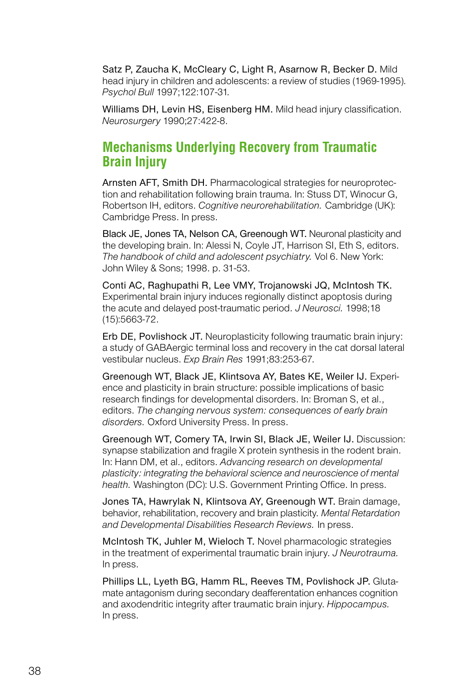Satz P, Zaucha K, McCleary C, Light R, Asarnow R, Becker D. Mild head injury in children and adolescents: a review of studies (1969-1995). Psychol Bull 1997;122:107-31.

Williams DH, Levin HS, Eisenberg HM. Mild head injury classification. Neurosurgery 1990;27:422-8.

### **Mechanisms Underlying Recovery from Traumatic Brain Injury**

Arnsten AFT, Smith DH. Pharmacological strategies for neuroprotection and rehabilitation following brain trauma. In: Stuss DT, Winocur G, Robertson IH, editors. Cognitive neurorehabilitation. Cambridge (UK): Cambridge Press. In press.

Black JE, Jones TA, Nelson CA, Greenough WT. Neuronal plasticity and the developing brain. In: Alessi N, Coyle JT, Harrison SI, Eth S, editors. The handbook of child and adolescent psychiatry. Vol 6. New York: John Wiley & Sons; 1998. p. 31-53.

Conti AC, Raghupathi R, Lee VMY, Trojanowski JQ, McIntosh TK. Experimental brain injury induces regionally distinct apoptosis during the acute and delayed post-traumatic period. J Neurosci. 1998;18 (15):5663-72.

Erb DE, Povlishock JT. Neuroplasticity following traumatic brain injury: a study of GABAergic terminal loss and recovery in the cat dorsal lateral vestibular nucleus. Exp Brain Res 1991;83:253-67.

Greenough WT, Black JE, Klintsova AY, Bates KE, Weiler IJ. Experience and plasticity in brain structure: possible implications of basic research findings for developmental disorders. In: Broman S, et al., editors. The changing nervous system: consequences of early brain disorders. Oxford University Press. In press.

Greenough WT, Comery TA, Irwin SI, Black JE, Weiler IJ. Discussion: synapse stabilization and fragile X protein synthesis in the rodent brain. In: Hann DM, et al., editors. Advancing research on developmental plasticity: integrating the behavioral science and neuroscience of mental health. Washington (DC): U.S. Government Printing Office. In press.

Jones TA, Hawrylak N, Klintsova AY, Greenough WT. Brain damage, behavior, rehabilitation, recovery and brain plasticity. Mental Retardation and Developmental Disabilities Research Reviews. In press.

McIntosh TK, Juhler M, Wieloch T. Novel pharmacologic strategies in the treatment of experimental traumatic brain injury. J Neurotrauma. In press.

Phillips LL, Lyeth BG, Hamm RL, Reeves TM, Povlishock JP. Glutamate antagonism during secondary deafferentation enhances cognition and axodendritic integrity after traumatic brain injury. Hippocampus. In press.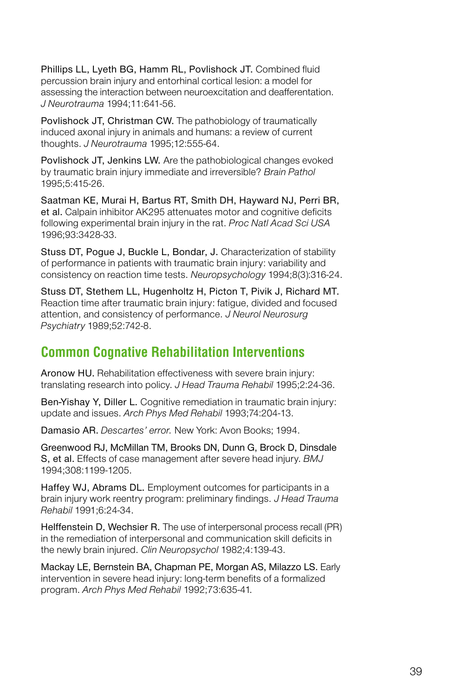Phillips LL, Lyeth BG, Hamm RL, Povlishock JT. Combined fluid percussion brain injury and entorhinal cortical lesion: a model for assessing the interaction between neuroexcitation and deafferentation. J Neurotrauma 1994;11:641-56.

Povlishock JT, Christman CW. The pathobiology of traumatically induced axonal injury in animals and humans: a review of current thoughts. J Neurotrauma 1995:12:555-64.

Povlishock JT, Jenkins LW. Are the pathobiological changes evoked by traumatic brain injury immediate and irreversible? Brain Pathol 1995;5:415-26.

Saatman KE, Murai H, Bartus RT, Smith DH, Hayward NJ, Perri BR, et al. Calpain inhibitor AK295 attenuates motor and cognitive deficits following experimental brain injury in the rat. Proc Natl Acad Sci USA 1996;93:3428-33.

Stuss DT, Pogue J, Buckle L, Bondar, J. Characterization of stability of performance in patients with traumatic brain injury: variability and consistency on reaction time tests. Neuropsychology 1994;8(3):316-24.

Stuss DT, Stethem LL, Hugenholtz H, Picton T, Pivik J, Richard MT. Reaction time after traumatic brain injury: fatigue, divided and focused attention, and consistency of performance. J Neurol Neurosurg Psychiatry 1989;52:742-8.

### **Common Cognative Rehabilitation Interventions**

Aronow HU. Rehabilitation effectiveness with severe brain injury: translating research into policy. J Head Trauma Rehabil 1995;2:24-36.

Ben-Yishay Y, Diller L. Cognitive remediation in traumatic brain injury: update and issues. Arch Phys Med Rehabil 1993;74:204-13.

Damasio AR. Descartes' error. New York: Avon Books; 1994.

Greenwood RJ, McMillan TM, Brooks DN, Dunn G, Brock D, Dinsdale S, et al. Effects of case management after severe head injury. BMJ 1994;308:1199-1205.

Haffey WJ, Abrams DL. Employment outcomes for participants in a brain injury work reentry program: preliminary findings. J Head Trauma Rehabil 1991;6:24-34.

Helffenstein D, Wechsier R. The use of interpersonal process recall (PR) in the remediation of interpersonal and communication skill deficits in the newly brain injured. Clin Neuropsychol 1982;4:139-43.

Mackay LE, Bernstein BA, Chapman PE, Morgan AS, Milazzo LS. Early intervention in severe head injury: long-term benefits of a formalized program. Arch Phys Med Rehabil 1992;73:635-41.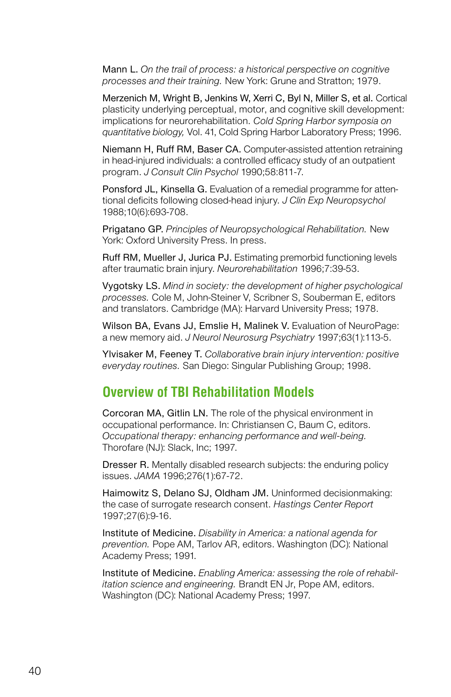Mann L. On the trail of process: a historical perspective on cognitive processes and their training. New York: Grune and Stratton; 1979.

Merzenich M, Wright B, Jenkins W, Xerri C, Byl N, Miller S, et al. Cortical plasticity underlying perceptual, motor, and cognitive skill development: implications for neurorehabilitation. Cold Spring Harbor symposia on quantitative biology, Vol. 41, Cold Spring Harbor Laboratory Press; 1996.

Niemann H, Ruff RM, Baser CA. Computer-assisted attention retraining in head-injured individuals: a controlled efficacy study of an outpatient program. J Consult Clin Psychol 1990;58:811-7.

Ponsford JL, Kinsella G. Evaluation of a remedial programme for attentional deficits following closed-head injury. J Clin Exp Neuropsychol 1988;10(6):693-708.

Prigatano GP. Principles of Neuropsychological Rehabilitation. New York: Oxford University Press. In press.

Ruff RM, Mueller J, Jurica PJ. Estimating premorbid functioning levels after traumatic brain injury. Neurorehabilitation 1996;7:39-53.

Vygotsky LS. Mind in society: the development of higher psychological processes. Cole M, John-Steiner V, Scribner S, Souberman E, editors and translators. Cambridge (MA): Harvard University Press; 1978.

Wilson BA, Evans JJ, Emslie H, Malinek V. Evaluation of NeuroPage: a new memory aid. J Neurol Neurosurg Psychiatry 1997;63(1):113-5.

Ylvisaker M, Feeney T. Collaborative brain injury intervention: positive everyday routines. San Diego: Singular Publishing Group; 1998.

### **Overview of TBI Rehabilitation Models**

Corcoran MA, Gitlin LN. The role of the physical environment in occupational performance. In: Christiansen C, Baum C, editors. Occupational therapy: enhancing performance and well-being. Thorofare (NJ): Slack, Inc; 1997.

Dresser R. Mentally disabled research subjects: the enduring policy issues. JAMA 1996;276(1):67-72.

Haimowitz S, Delano SJ, Oldham JM. Uninformed decisionmaking: the case of surrogate research consent. Hastings Center Report 1997;27(6):9-16.

Institute of Medicine. Disability in America: a national agenda for prevention. Pope AM, Tarlov AR, editors. Washington (DC): National Academy Press; 1991.

Institute of Medicine. Enabling America: assessing the role of rehabilitation science and engineering. Brandt EN Jr, Pope AM, editors. Washington (DC): National Academy Press; 1997.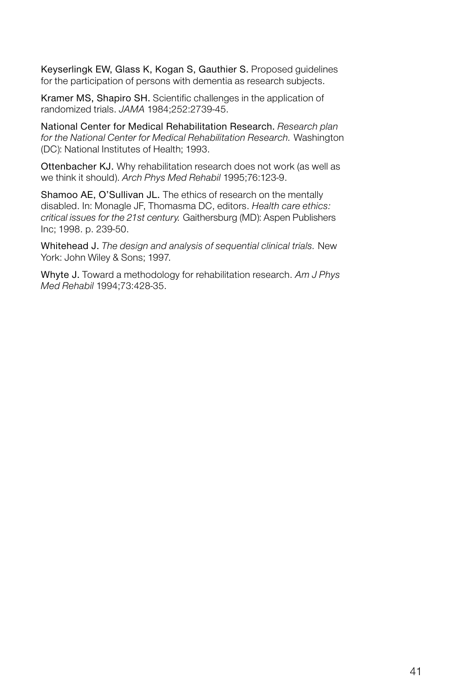Keyserlingk EW, Glass K, Kogan S, Gauthier S. Proposed guidelines for the participation of persons with dementia as research subjects.

Kramer MS, Shapiro SH. Scientific challenges in the application of randomized trials. JAMA 1984;252:2739-45.

National Center for Medical Rehabilitation Research. Research plan for the National Center for Medical Rehabilitation Research. Washington (DC): National Institutes of Health; 1993.

Ottenbacher KJ. Why rehabilitation research does not work (as well as we think it should). Arch Phys Med Rehabil 1995;76:123-9.

Shamoo AE, O'Sullivan JL. The ethics of research on the mentally disabled. In: Monagle JF, Thomasma DC, editors. Health care ethics: critical issues for the 21st century. Gaithersburg (MD): Aspen Publishers Inc; 1998. p. 239-50.

Whitehead J. The design and analysis of sequential clinical trials. New York: John Wiley & Sons; 1997.

Whyte J. Toward a methodology for rehabilitation research. Am J Phys Med Rehabil 1994;73:428-35.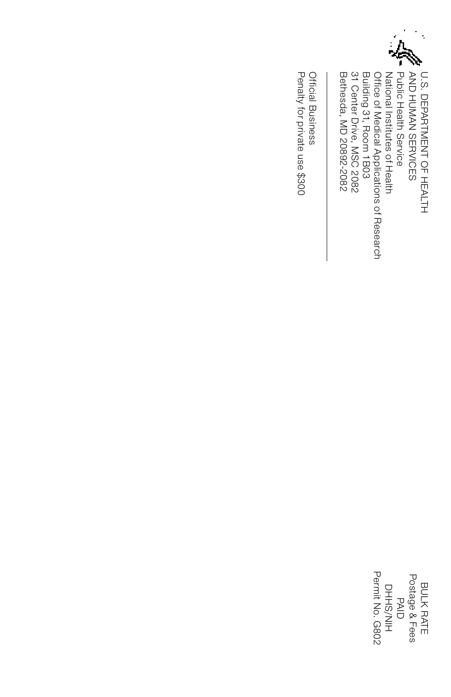

U.S. DEPARTMENT OF HEALTH

U.S. DEPARTMENT OF HEALTH<br>/ AND HUMAN SERVICES<br>• Public Health Service Office of Medical Applications of Research<br>Building 31, Room 1B03<br>31 Center Drive, MSC 2082<br>Bethesda, MD 20892-2082 National Institutes of Health AND HUMAN SERVICES Bethesda, MD 20892-2082 31 Center Drive, MSC 2082 Office of Medical Applications of Research National Institutes of Health Public Health Ser 1, Room 1B03

Penalty for private use \$300 **Official Business** Penalty for private use \$300 Official Business

> BULK RATE BULK RATE Postage & Fees PAID<br>O DHHS/NIH Permit No. G802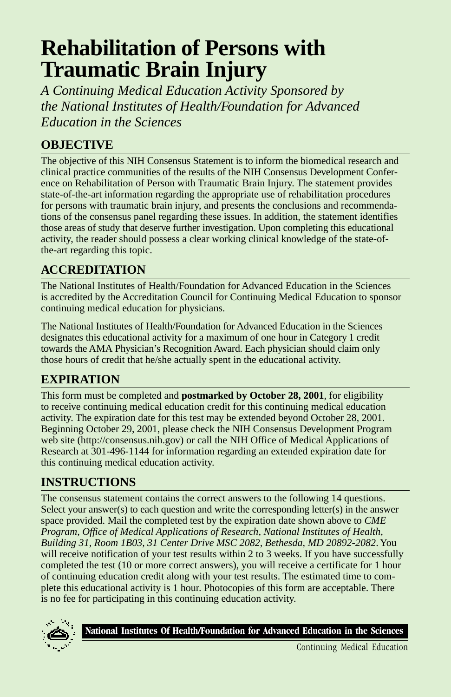# **Rehabilitation of Persons with Traumatic Brain Injury**

*A Continuing Medical Education Activity Sponsored by the National Institutes of Health/Foundation for Advanced Education in the Sciences* 

### **OBJECTIVE**

The objective of this NIH Consensus Statement is to inform the biomedical research and clinical practice communities of the results of the NIH Consensus Development Conference on Rehabilitation of Person with Traumatic Brain Injury. The statement provides state-of-the-art information regarding the appropriate use of rehabilitation procedures for persons with traumatic brain injury, and presents the conclusions and recommendations of the consensus panel regarding these issues. In addition, the statement identifies those areas of study that deserve further investigation. Upon completing this educational activity, the reader should possess a clear working clinical knowledge of the state-ofthe-art regarding this topic.

### **ACCREDITATION**

The National Institutes of Health/Foundation for Advanced Education in the Sciences is accredited by the Accreditation Council for Continuing Medical Education to sponsor continuing medical education for physicians.

The National Institutes of Health/Foundation for Advanced Education in the Sciences designates this educational activity for a maximum of one hour in Category 1 credit towards the AMA Physician's Recognition Award. Each physician should claim only those hours of credit that he/she actually spent in the educational activity.

### **EXPIRATION**

This form must be completed and **postmarked by October 28, 2001**, for eligibility to receive continuing medical education credit for this continuing medical education activity. The expiration date for this test may be extended beyond October 28, 2001. Beginning October 29, 2001, please check the NIH Consensus Development Program web site (http://consensus.nih.gov) or call the NIH Office of Medical Applications of Research at 301-496-1144 for information regarding an extended expiration date for this continuing medical education activity.

### **INSTRUCTIONS**

The consensus statement contains the correct answers to the following 14 questions. Select your answer(s) to each question and write the corresponding letter(s) in the answer space provided. Mail the completed test by the expiration date shown above to *CME Program, Office of Medical Applications of Research, National Institutes of Health, Building 31, Room 1B03, 31 Center Drive MSC 2082, Bethesda, MD 20892-2082*. You will receive notification of your test results within 2 to 3 weeks. If you have successfully completed the test (10 or more correct answers), you will receive a certificate for 1 hour of continuing education credit along with your test results. The estimated time to complete this educational activity is 1 hour. Photocopies of this form are acceptable. There is no fee for participating in this continuing education activity.



**National Institutes Of Health/Foundation for Advanced Education in the Sciences**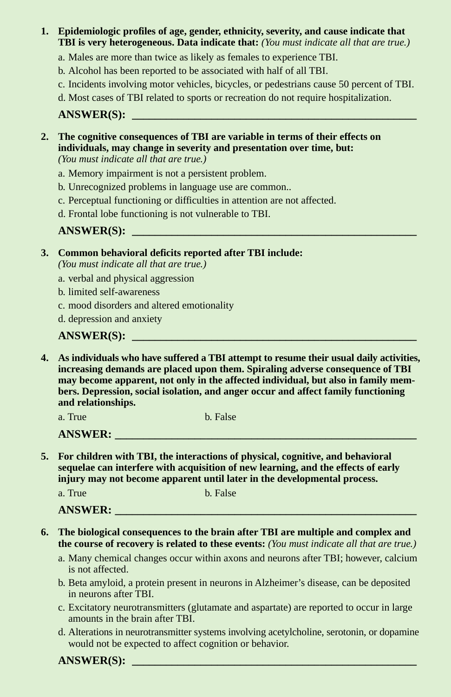- **1. Epidemiologic profiles of age, gender, ethnicity, severity, and cause indicate that TBI is very heterogeneous. Data indicate that:** *(You must indicate all that are true.)* 
	- a. Males are more than twice as likely as females to experience TBI.
	- b. Alcohol has been reported to be associated with half of all TBI.
	- c. Incidents involving motor vehicles, bicycles, or pedestrians cause 50 percent of TBI.
	- d. Most cases of TBI related to sports or recreation do not require hospitalization.

#### **ANSWER(S): \_\_\_\_\_\_\_\_\_\_\_\_\_\_\_\_\_\_\_\_\_\_\_\_\_\_\_\_\_\_\_\_\_\_\_\_\_\_\_\_\_\_\_\_\_\_\_\_\_\_**

**2. The cognitive consequences of TBI are variable in terms of their effects on individuals, may change in severity and presentation over time, but:** 

*(You must indicate all that are true.)* 

- a. Memory impairment is not a persistent problem.
- b. Unrecognized problems in language use are common..
- c. Perceptual functioning or difficulties in attention are not affected.
- d. Frontal lobe functioning is not vulnerable to TBI.

**ANSWER(S): \_\_\_\_\_\_\_\_\_\_\_\_\_\_\_\_\_\_\_\_\_\_\_\_\_\_\_\_\_\_\_\_\_\_\_\_\_\_\_\_\_\_\_\_\_\_\_\_\_\_** 

#### **3. Common behavioral deficits reported after TBI include:**

*(You must indicate all that are true.)* 

- a. verbal and physical aggression
- b. limited self-awareness
- c. mood disorders and altered emotionality
- d. depression and anxiety

#### **ANSWER(S): \_\_\_\_\_\_\_\_\_\_\_\_\_\_\_\_\_\_\_\_\_\_\_\_\_\_\_\_\_\_\_\_\_\_\_\_\_\_\_\_\_\_\_\_\_\_\_\_\_\_**

**4. As individuals who have suffered a TBI attempt to resume their usual daily activities, increasing demands are placed upon them. Spiraling adverse consequence of TBI may become apparent, not only in the affected individual, but also in family members. Depression, social isolation, and anger occur and affect family functioning and relationships.** 

| a. True     | b. False |  |
|-------------|----------|--|
| 1.370777777 |          |  |

- **ANSWER: \_\_\_\_\_\_\_\_\_\_\_\_\_\_\_\_\_\_\_\_\_\_\_\_\_\_\_\_\_\_\_\_\_\_\_\_\_\_\_\_\_\_\_\_\_\_\_\_\_\_\_\_\_**
- **5.** For children with TBI, the interactions of physical, cognitive, and behavioral **sequelae can interfere with acquisition of new learning, and the effects of early injury may not become apparent until later in the developmental process.**

| œ<br>$\mathbf{a}$<br>.                 | ь |      |
|----------------------------------------|---|------|
| Λ<br>$\sim$ $\sim$ $\sim$<br>----<br>໋ |   | ____ |

- **6.** The biological consequences to the brain after TBI are multiple and complex and **the course of recovery is related to these events:** *(You must indicate all that are true.)* 
	- a. Many chemical changes occur within axons and neurons after TBI; however, calcium is not affected.
	- b. Beta amyloid, a protein present in neurons in Alzheimer's disease, can be deposited in neurons after TBI.
	- c. Excitatory neurotransmitters (glutamate and aspartate) are reported to occur in large amounts in the brain after TBI.
	- d. Alterations in neurotransmitter systems involving acetylcholine, serotonin, or dopamine would not be expected to affect cognition or behavior.

#### **ANSWER(S): \_\_\_\_\_\_\_\_\_\_\_\_\_\_\_\_\_\_\_\_\_\_\_\_\_\_\_\_\_\_\_\_\_\_\_\_\_\_\_\_\_\_\_\_\_\_\_\_\_\_**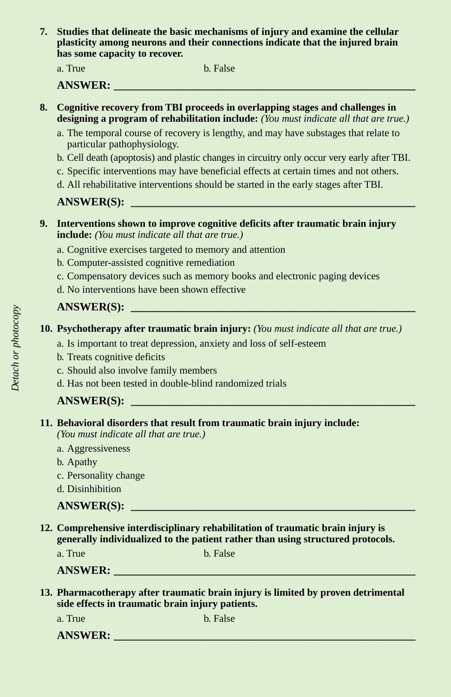**7. Studies that delineate the basic mechanisms of injury and examine the cellular plasticity among neurons and their connections indicate that the injured brain has some capacity to recover.** 

| a. True        | b. False |
|----------------|----------|
| <b>ANSWER:</b> |          |

- **8. Cognitive recovery from TBI proceeds in overlapping stages and challenges in designing a program of rehabilitation include:** *(You must indicate all that are true.)* 
	- a. The temporal course of recovery is lengthy, and may have substages that relate to particular pathophysiology.
	- b. Cell death (apoptosis) and plastic changes in circuitry only occur very early after TBI.
	- c. Specific interventions may have beneficial effects at certain times and not others.
	- d. All rehabilitative interventions should be started in the early stages after TBI.
	- **ANSWER(S): \_\_\_\_\_\_\_\_\_\_\_\_\_\_\_\_\_\_\_\_\_\_\_\_\_\_\_\_\_\_\_\_\_\_\_\_\_\_\_\_\_\_\_\_\_\_\_\_\_\_**
- **9. Interventions shown to improve cognitive deficits after traumatic brain injury include:** *(You must indicate all that are true.)* 
	- a. Cognitive exercises targeted to memory and attention
	- b. Computer-assisted cognitive remediation
	- c. Compensatory devices such as memory books and electronic paging devices
	- d. No interventions have been shown effective
	- **ANSWER(S): \_\_\_\_\_\_\_\_\_\_\_\_\_\_\_\_\_\_\_\_\_\_\_\_\_\_\_\_\_\_\_\_\_\_\_\_\_\_\_\_\_\_\_\_\_\_\_\_\_\_**

#### **10. Psychotherapy after traumatic brain injury:** *(You must indicate all that are true.)*

- a. Is important to treat depression, anxiety and loss of self-esteem
- b. Treats cognitive deficits
- c. Should also involve family members
- d. Has not been tested in double-blind randomized trials

#### **ANSWER(S): \_\_\_\_\_\_\_\_\_\_\_\_\_\_\_\_\_\_\_\_\_\_\_\_\_\_\_\_\_\_\_\_\_\_\_\_\_\_\_\_\_\_\_\_\_\_\_\_\_\_**

#### **11. Behavioral disorders that result from traumatic brain injury include:**

*(You must indicate all that are true.)* 

- a. Aggressiveness
- b. Apathy
- c. Personality change
- d. Disinhibition

#### **ANSWER(S): \_\_\_\_\_\_\_\_\_\_\_\_\_\_\_\_\_\_\_\_\_\_\_\_\_\_\_\_\_\_\_\_\_\_\_\_\_\_\_\_\_\_\_\_\_\_\_\_\_\_**

**12. Comprehensive interdisciplinary rehabilitation of traumatic brain injury is generally individualized to the patient rather than using structured protocols.** 

| a.             | 100 |
|----------------|-----|
| <b>ANSWER:</b> |     |

**13. Pharmacotherapy after traumatic brain injury is limited by proven detrimental side effects in traumatic brain injury patients.** 

| a. True        | ъ. |  |
|----------------|----|--|
| <b>ANSWER:</b> |    |  |